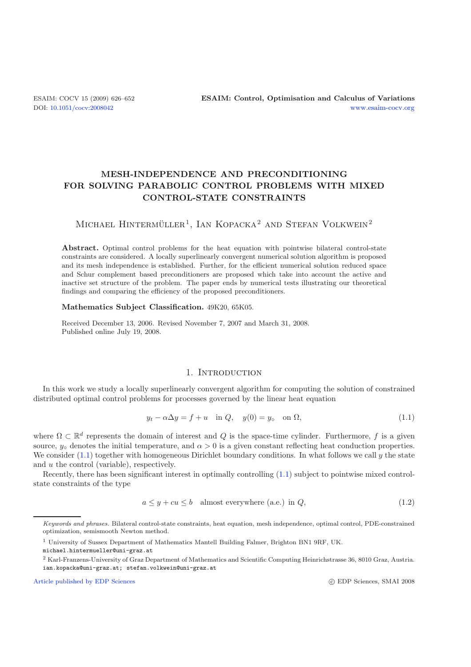# **MESH-INDEPENDENCE AND PRECONDITIONING FOR SOLVING PARABOLIC CONTROL PROBLEMS WITH MIXED CONTROL-STATE CONSTRAINTS**

# MICHAEL HINTERMÜLLER<sup>1</sup>, IAN KOPACKA<sup>2</sup> AND STEFAN VOLKWEIN<sup>2</sup>

**Abstract.** Optimal control problems for the heat equation with pointwise bilateral control-state constraints are considered. A locally superlinearly convergent numerical solution algorithm is proposed and its mesh independence is established. Further, for the efficient numerical solution reduced space and Schur complement based preconditioners are proposed which take into account the active and inactive set structure of the problem. The paper ends by numerical tests illustrating our theoretical findings and comparing the efficiency of the proposed preconditioners.

## <span id="page-0-0"></span>**Mathematics Subject Classification.** 49K20, 65K05.

Received December 13, 2006. Revised November 7, 2007 and March 31, 2008. Published online July 19, 2008.

# 1. INTRODUCTION

<span id="page-0-1"></span>In this work we study a locally superlinearly convergent algorithm for computing the solution of constrained distributed optimal control problems for processes governed by the linear heat equation

$$
y_t - \alpha \Delta y = f + u \quad \text{in } Q, \quad y(0) = y_\text{o} \quad \text{on } \Omega,
$$
\n
$$
(1.1)
$$

where  $\Omega \subset \mathbb{R}^d$  represents the domain of interest and Q is the space-time cylinder. Furthermore, f is a given source,  $y_0$  denotes the initial temperature, and  $\alpha > 0$  is a given constant reflecting heat conduction properties. We consider  $(1.1)$  together with homogeneous Dirichlet boundary conditions. In what follows we call y the state and u the control (variable), respectively.

Recently, there has been significant interest in optimally controlling [\(1.1\)](#page-0-0) subject to pointwise mixed controlstate constraints of the type

$$
a \le y + cu \le b \quad \text{almost everywhere (a.e.) in } Q,\tag{1.2}
$$

[Article published by EDP Sciences](http://www.edpsciences.org)

Keywords and phrases. Bilateral control-state constraints, heat equation, mesh independence, optimal control, PDE-constrained optimization, semismooth Newton method.

<sup>1</sup> University of Sussex Department of Mathematics Mantell Building Falmer, Brighton BN1 9RF, UK.

<sup>&</sup>lt;sup>2</sup> Karl-Franzens-University of Graz Department of Mathematics and Scientific Computing Heinrichstrasse 36, 8010 Graz, Austria. ian.kopacka@uni-graz.at; stefan.volkwein@uni-graz.at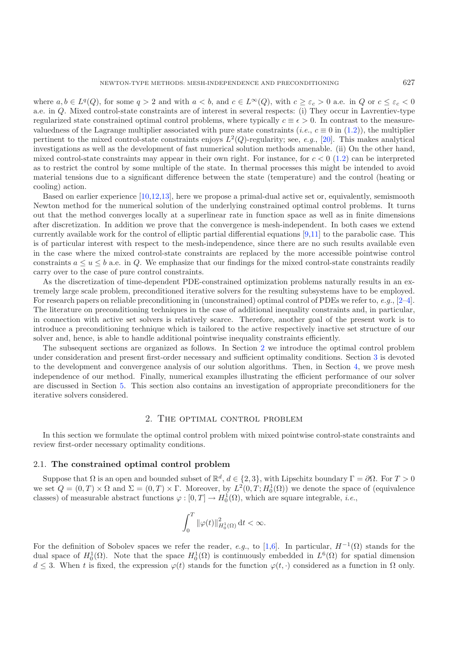where  $a, b \in L^q(Q)$ , for some  $q > 2$  and with  $a < b$ , and  $c \in L^{\infty}(Q)$ , with  $c \geq \varepsilon_c > 0$  a.e. in Q or  $c \leq \varepsilon_c < 0$ a.e. in Q. Mixed control-state constraints are of interest in several respects: (i) They occur in Lavrentiev-type regularized state constrained optimal control problems, where typically  $c \equiv \epsilon > 0$ . In contrast to the measurevaluedness of the Lagrange multiplier associated with pure state constraints (*i.e.*,  $c \equiv 0$  in [\(1.2\)](#page-0-1)), the multiplier pertinent to the mixed control-state constraints enjoys  $L^2(Q)$ -regularity; see, *e.g.*, [\[20\]](#page-26-0). This makes analytical investigations as well as the development of fast numerical solution methods amenable. (ii) On the other hand, mixed control-state constraints may appear in their own right. For instance, for  $c < 0$  [\(1.2\)](#page-0-1) can be interpreted as to restrict the control by some multiple of the state. In thermal processes this might be intended to avoid material tensions due to a significant difference between the state (temperature) and the control (heating or cooling) action.

Based on earlier experience [\[10](#page-26-1)[,12](#page-26-2)[,13\]](#page-26-3), here we propose a primal-dual active set or, equivalently, semismooth Newton method for the numerical solution of the underlying constrained optimal control problems. It turns out that the method converges locally at a superlinear rate in function space as well as in finite dimensions after discretization. In addition we prove that the convergence is mesh-independent. In both cases we extend currently available work for the control of elliptic partial differential equations [\[9](#page-26-4)[,11\]](#page-26-5) to the parabolic case. This is of particular interest with respect to the mesh-independence, since there are no such results available even in the case where the mixed control-state constraints are replaced by the more accessible pointwise control constraints  $a \le u \le b$  a.e. in Q. We emphasize that our findings for the mixed control-state constraints readily carry over to the case of pure control constraints.

As the discretization of time-dependent PDE-constrained optimization problems naturally results in an extremely large scale problem, preconditioned iterative solvers for the resulting subsystems have to be employed. For research papers on reliable preconditioning in (unconstrained) optimal control of PDEs we refer to, *e.g.*, [\[2](#page-25-0)[–4\]](#page-25-1). The literature on preconditioning techniques in the case of additional inequality constraints and, in particular, in connection with active set solvers is relatively scarce. Therefore, another goal of the present work is to introduce a preconditioning technique which is tailored to the active respectively inactive set structure of our solver and, hence, is able to handle additional pointwise inequality constraints efficiently.

The subsequent sections are organized as follows. In Section [2](#page-1-0) we introduce the optimal control problem under consideration and present first-order necessary and sufficient optimality conditions. Section [3](#page-5-0) is devoted to the development and convergence analysis of our solution algorithms. Then, in Section [4,](#page-9-0) we prove mesh independence of our method. Finally, numerical examples illustrating the efficient performance of our solver are discussed in Section [5.](#page-15-0) This section also contains an investigation of appropriate preconditioners for the iterative solvers considered.

### 2. The optimal control problem

<span id="page-1-0"></span>In this section we formulate the optimal control problem with mixed pointwise control-state constraints and review first-order necessary optimality conditions.

### 2.1. **The constrained optimal control problem**

Suppose that  $\Omega$  is an open and bounded subset of  $\mathbb{R}^d$ ,  $d \in \{2,3\}$ , with Lipschitz boundary  $\Gamma = \partial \Omega$ . For  $T > 0$ we set  $Q = (0, T) \times \Omega$  and  $\Sigma = (0, T) \times \Gamma$ . Moreover, by  $L^2(0, T; H_0^1(\Omega))$  we denote the space of (equivalence classes) of measurable abstract functions  $\varphi : [0, T] \to H_0^1(\Omega)$ , which are square integrable, *i.e.*,

$$
\int_0^T \|\varphi(t)\|_{H_0^1(\Omega)}^2 \, \mathrm{d}t < \infty.
$$

For the definition of Sobolev spaces we refer the reader, *e.g.*, to [\[1](#page-25-2)[,6\]](#page-25-3). In particular,  $H^{-1}(\Omega)$  stands for the dual space of  $H_0^1(\Omega)$ . Note that the space  $H_0^1(\Omega)$  is continuously embedded in  $L^6(\Omega)$  for spatial dimension  $d \leq 3$ . When t is fixed, the expression  $\varphi(t)$  stands for the function  $\varphi(t, \cdot)$  considered as a function in  $\Omega$  only.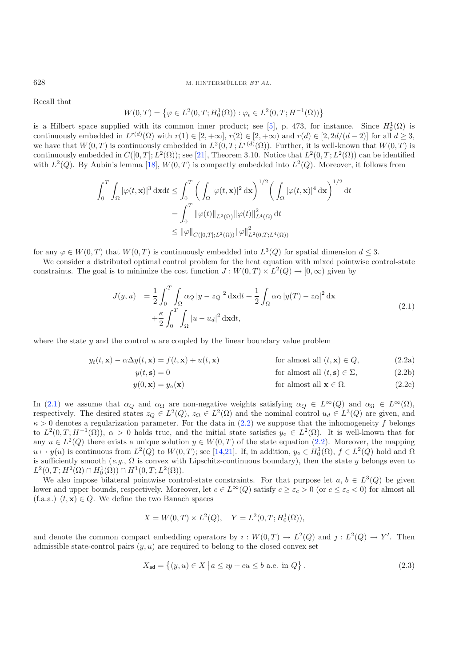Recall that

$$
W(0,T) = \left\{ \varphi \in L^2(0,T;H_0^1(\Omega)) : \varphi_t \in L^2(0,T;H^{-1}(\Omega)) \right\}
$$

is a Hilbert space supplied with its common inner product; see [\[5](#page-25-4)], p. 473, for instance. Since  $H_0^1(\Omega)$  is continuously embedded in  $L^{r(d)}(\Omega)$  with  $r(1) \in [2, +\infty]$ ,  $r(2) \in [2, +\infty)$  and  $r(d) \in [2, 2d/(d-2)]$  for all  $d \geq 3$ , we have that  $W(0,T)$  is continuously embedded in  $L^2(0,T;L^{r(d)}(\Omega))$ . Further, it is well-known that  $W(0,T)$  is continuously embedded in  $C([0, T]; L^2(\Omega))$ ; see [\[21\]](#page-26-6), Theorem 3.10. Notice that  $L^2(0, T; L^2(\Omega))$  can be identified with  $L^2(Q)$ . By Aubin's lemma [\[18](#page-26-7)],  $W(0,T)$  is compactly embedded into  $L^2(Q)$ . Moreover, it follows from

<span id="page-2-0"></span>
$$
\int_0^T \int_{\Omega} |\varphi(t, \mathbf{x})|^3 \, \mathrm{d}\mathbf{x} \mathrm{d}t \leq \int_0^T \left( \int_{\Omega} |\varphi(t, \mathbf{x})|^2 \, \mathrm{d}\mathbf{x} \right)^{1/2} \left( \int_{\Omega} |\varphi(t, \mathbf{x})|^4 \, \mathrm{d}\mathbf{x} \right)^{1/2} \mathrm{d}t
$$

$$
= \int_0^T \|\varphi(t)\|_{L^2(\Omega)} \|\varphi(t)\|_{L^4(\Omega)}^2 \, \mathrm{d}t
$$

$$
\leq \|\varphi\|_{C([0, T]; L^2(\Omega))} \|\varphi\|_{L^2(0, T; L^4(\Omega))}^2
$$

for any  $\varphi \in W(0,T)$  that  $W(0,T)$  is continuously embedded into  $L^3(Q)$  for spatial dimension  $d \leq 3$ .

We consider a distributed optimal control problem for the heat equation with mixed pointwise control-state constraints. The goal is to minimize the cost function  $J: W(0,T) \times L^2(Q) \to [0,\infty)$  given by

<span id="page-2-1"></span>
$$
J(y, u) = \frac{1}{2} \int_0^T \int_{\Omega} \alpha_Q |y - z_Q|^2 \, \mathrm{d}x \mathrm{d}t + \frac{1}{2} \int_{\Omega} \alpha_Q |y(T) - z_\Omega|^2 \, \mathrm{d}x + \frac{\kappa}{2} \int_0^T \int_{\Omega} |u - u_d|^2 \, \mathrm{d}x \mathrm{d}t,
$$
\n(2.1)

where the state  $y$  and the control  $u$  are coupled by the linear boundary value problem

$$
y_t(t, \mathbf{x}) - \alpha \Delta y(t, \mathbf{x}) = f(t, \mathbf{x}) + u(t, \mathbf{x})
$$
 for almost all  $(t, \mathbf{x}) \in Q$ , (2.2a)

$$
y(t, \mathbf{s}) = 0
$$
 for almost all  $(t, \mathbf{s}) \in \Sigma$ , (2.2b)

$$
y(0, \mathbf{x}) = y_0(\mathbf{x})
$$
 for almost all  $\mathbf{x} \in \Omega$ . (2.2c)

In [\(2.1\)](#page-2-0) we assume that  $\alpha_Q$  and  $\alpha_{\Omega}$  are non-negative weights satisfying  $\alpha_Q \in L^{\infty}(Q)$  and  $\alpha_{\Omega} \in L^{\infty}(\Omega)$ , respectively. The desired states  $z_Q \in L^2(Q)$ ,  $z_\Omega \in L^2(\Omega)$  and the nominal control  $u_d \in L^3(Q)$  are given, and  $\kappa > 0$  denotes a regularization parameter. For the data in [\(2.2\)](#page-2-1) we suppose that the inhomogeneity f belongs to  $L^2(0,T;H^{-1}(\Omega))$ ,  $\alpha>0$  holds true, and the initial state satisfies  $y_0 \in L^2(\Omega)$ . It is well-known that for any  $u \in L^2(Q)$  there exists a unique solution  $y \in W(0,T)$  of the state equation [\(2.2\)](#page-2-1). Moreover, the mapping  $u \mapsto y(u)$  is continuous from  $L^2(Q)$  to  $W(0,T)$ ; see [\[14](#page-26-8)[,21](#page-26-6)]. If, in addition,  $y_0 \in H_0^1(\Omega)$ ,  $f \in L^2(Q)$  hold and  $\Omega$ is sufficiently smooth (*e.g.*,  $\Omega$  is convex with Lipschitz-continuous boundary), then the state y belongs even to  $L^2(0,T;H^2(\Omega)\cap H_0^1(\Omega))\cap H^1(0,T;L^2(\Omega)).$ 

We also impose bilateral pointwise control-state constraints. For that purpose let  $a, b \in L^3(Q)$  be given lower and upper bounds, respectively. Moreover, let  $c \in L^{\infty}(Q)$  satisfy  $c \geq \varepsilon_c > 0$  (or  $c \leq \varepsilon_c < 0$ ) for almost all (f.a.a.)  $(t, \mathbf{x}) \in Q$ . We define the two Banach spaces

$$
X = W(0,T) \times L^{2}(Q), \quad Y = L^{2}(0,T;H_{0}^{1}(\Omega)),
$$

and denote the common compact embedding operators by  $i: W(0,T) \to L^2(Q)$  and  $j: L^2(Q) \to Y'$ . Then admissible state-control pairs  $(y, u)$  are required to belong to the closed convex set

$$
X_{\text{ad}} = \{(y, u) \in X \mid a \leq iy + cu \leq b \text{ a.e. in } Q\}.
$$
 (2.3)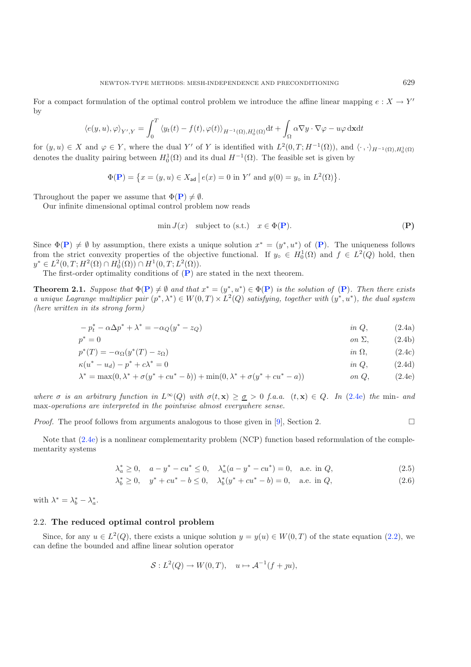$$
\langle e(y, u), \varphi \rangle_{Y', Y} = \int_0^T \langle y_t(t) - f(t), \varphi(t) \rangle_{H^{-1}(\Omega), H_0^1(\Omega)} \mathrm{d}t + \int_{\Omega} \alpha \nabla y \cdot \nabla \varphi - u \varphi \, \mathrm{d}x \mathrm{d}t
$$

for  $(y, u) \in X$  and  $\varphi \in Y$ , where the dual Y' of Y is identified with  $L^2(0,T; H^{-1}(\Omega))$ , and  $\langle \cdot, \cdot \rangle_{H^{-1}(\Omega), H_0^1(\Omega)}$ denotes the duality pairing between  $H_0^1(\Omega)$  and its dual  $H^{-1}(\Omega)$ . The feasible set is given by

$$
\Phi(\mathbf{P}) = \{ x = (y, u) \in X_{ad} \mid e(x) = 0 \text{ in } Y' \text{ and } y(0) = y_{o} \text{ in } L^{2}(\Omega) \}.
$$

Throughout the paper we assume that  $\Phi(\mathbf{P}) \neq \emptyset$  $\Phi(\mathbf{P}) \neq \emptyset$  $\Phi(\mathbf{P}) \neq \emptyset$ .

Our infinite dimensional optimal control problem now reads

<span id="page-3-4"></span><span id="page-3-3"></span><span id="page-3-2"></span><span id="page-3-1"></span><span id="page-3-0"></span>
$$
\min J(x) \quad \text{subject to (s.t.)} \quad x \in \Phi(\mathbf{P}).\tag{P}
$$

Since  $\Phi(\mathbf{P}) \neq \emptyset$  $\Phi(\mathbf{P}) \neq \emptyset$  $\Phi(\mathbf{P}) \neq \emptyset$  by assumption, there exists a unique solution  $x^* = (y^*, u^*)$  of  $(\mathbf{P})$ . The uniqueness follows from the strict convexity properties of the objective functional. If  $y_0 \in H_0^1(\Omega)$  and  $f \in L^2(Q)$  hold, then  $y^* \in L^2(0,T;H^2(\Omega) \cap H_0^1(\Omega)) \cap H^1(0,T;L^2(\Omega)).$ 

The first-order optimality conditions of (**[P](#page-3-0)**) are stated in the next theorem.

**Theorem 2.1.** *Suppose that*  $\Phi(\mathbf{P}) \neq \emptyset$  $\Phi(\mathbf{P}) \neq \emptyset$  $\Phi(\mathbf{P}) \neq \emptyset$  *and that*  $x^* = (y^*, u^*) \in \Phi(\mathbf{P})$  *is the solution of*  $(\mathbf{P})$ *. Then there exists a unique Lagrange multiplier pair*  $(p^*, \lambda^*) \in W(0,T) \times L^2(Q)$  *satisfying, together with*  $(y^*, u^*)$ *, the dual system (here written in its strong form)*

$$
-p_t^* - \alpha \Delta p^* + \lambda^* = -\alpha_Q(y^* - z_Q) \qquad \qquad \text{in } Q,\tag{2.4a}
$$

p<sup>∗</sup> = 0 *on* Σ, (2.4b)

$$
p^*(T) = -\alpha_{\Omega}(y^*(T) - z_{\Omega}) \qquad \qquad \text{in } \Omega, \qquad (2.4c)
$$

$$
\kappa(u^* - u_d) - p^* + c\lambda^* = 0 \qquad \qquad \text{in } Q,\tag{2.4d}
$$

$$
\lambda^* = \max(0, \lambda^* + \sigma(y^* + cu^* - b)) + \min(0, \lambda^* + \sigma(y^* + cu^* - a)) \qquad on \ Q, \tag{2.4e}
$$

*where*  $\sigma$  *is an arbitrary function in*  $L^{\infty}(Q)$  *with*  $\sigma(t, \mathbf{x}) \geq \sigma > 0$  *f.a.a.*  $(t, \mathbf{x}) \in Q$ . In [\(2.4e\)](#page-3-1) *the* min- and max*-operations are interpreted in the pointwise almost everywhere sense.*

*Proof.* The proof follows from arguments analogous to those given in [9], Section 2. 
$$
\Box
$$

Note that [\(2.4e\)](#page-3-1) is a nonlinear complementarity problem (NCP) function based reformulation of the complementarity systems

$$
\lambda_a^* \ge 0, \quad a - y^* - cu^* \le 0, \quad \lambda_a^*(a - y^* - cu^*) = 0, \quad \text{a.e. in } Q,\tag{2.5}
$$

$$
\lambda_b^* \ge 0, \quad y^* + cu^* - b \le 0, \quad \lambda_b^*(y^* + cu^* - b) = 0, \quad \text{a.e. in } Q,\tag{2.6}
$$

with  $\lambda^* = \lambda_b^* - \lambda_a^*$ .

### <span id="page-3-5"></span>2.2. **The reduced optimal control problem**

Since, for any  $u \in L^2(Q)$ , there exists a unique solution  $y = y(u) \in W(0,T)$  of the state equation [\(2.2\)](#page-2-1), we can define the bounded and affine linear solution operator

$$
S: L2(Q) \to W(0,T), \quad u \mapsto \mathcal{A}^{-1}(f+yu),
$$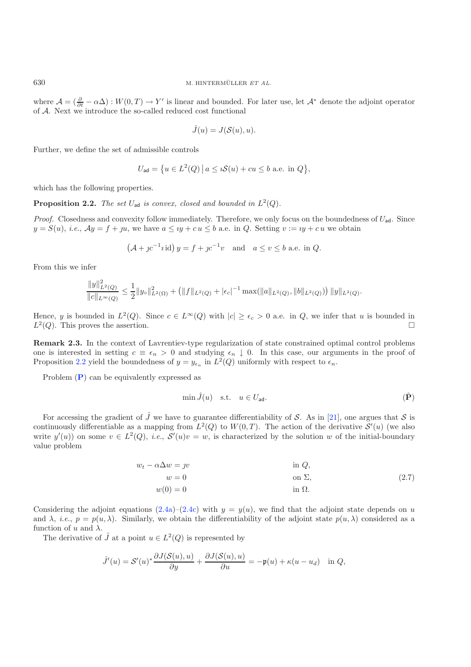where  $\mathcal{A} = (\frac{\partial}{\partial t} - \alpha \Delta) : W(0, T) \to Y'$  is linear and bounded. For later use, let  $\mathcal{A}^*$  denote the adjoint operator of A. Next we introduce the so-called reduced cost functional

$$
\hat{J}(u) = J(\mathcal{S}(u), u).
$$

Further, we define the set of admissible controls

$$
U_{\text{ad}} = \{ u \in L^2(Q) \, \big| \, a \leq \iota \mathcal{S}(u) + cu \leq b \text{ a.e. in } Q \},
$$

<span id="page-4-0"></span>which has the following properties.

**Proposition 2.2.** *The set*  $U_{ad}$  *is convex, closed and bounded in*  $L^2(Q)$ *.* 

*Proof.* Closedness and convexity follow immediately. Therefore, we only focus on the boundedness of  $U_{ad}$ . Since  $y = S(u)$ , *i.e.*,  $Ay = f + ju$ , we have  $a \leq iy + cu \leq b$  a.e. in Q. Setting  $v := iy + cu$  we obtain

<span id="page-4-1"></span>
$$
(A + pc^{-1}i \operatorname{id}) y = f + pc^{-1}v
$$
 and  $a \le v \le b$  a.e. in Q.

From this we infer

$$
\frac{\|y\|_{L^2(Q)}^2}{\|c\|_{L^\infty(Q)}}\leq \frac{1}{2}\|y_\diamond\|_{L^2(\Omega)}^2+\left(\|f\|_{L^2(Q)}+|\epsilon_c|^{-1}\max(\|a\|_{L^2(Q)},\|b\|_{L^2(Q)})\right)\|y\|_{L^2(Q)}.
$$

Hence, y is bounded in  $L^2(Q)$ . Since  $c \in L^{\infty}(Q)$  with  $|c| \geq \epsilon_c > 0$  a.e. in Q, we infer that u is bounded in  $L^2(Q)$ . This proves the assertion.  $\square$ 

**Remark 2.3.** In the context of Lavrentiev-type regularization of state constrained optimal control problems one is interested in setting  $c \equiv \epsilon_n > 0$  and studying  $\epsilon_n \downarrow 0$ . In this case, our arguments in the proof of Proposition [2.2](#page-4-0) yield the boundedness of  $y = y_{\epsilon_n}$  in  $L^2(Q)$  uniformly with respect to  $\epsilon_n$ .

Problem (**[P](#page-3-0)**) can be equivalently expressed as

$$
\min \hat{J}(u) \quad \text{s.t.} \quad u \in U_{\text{ad}}.\tag{P}
$$

For accessing the gradient of  $\hat{J}$  we have to guarantee differentiability of S. As in [\[21](#page-26-6)], one argues that S is continuously differentiable as a mapping from  $L^2(Q)$  to  $W(0,T)$ . The action of the derivative  $\mathcal{S}'(u)$  (we also write  $y'(u)$  on some  $v \in L^2(Q)$ , *i.e.*,  $S'(u)v = w$ , is characterized by the solution w of the initial-boundary value problem

$$
w_t - \alpha \Delta w = yv \qquad \text{in } Q,
$$
  
\n
$$
w = 0 \qquad \text{on } \Sigma,
$$
  
\n
$$
w(0) = 0 \qquad \text{in } \Omega.
$$
\n(2.7)

Considering the adjoint equations  $(2.4a)-(2.4c)$  $(2.4a)-(2.4c)$  $(2.4a)-(2.4c)$  with  $y = y(u)$ , we find that the adjoint state depends on u and  $\lambda$ , *i.e.*,  $p = p(u, \lambda)$ . Similarly, we obtain the differentiability of the adjoint state  $p(u, \lambda)$  considered as a function of u and  $\lambda$ .

The derivative of  $\hat{J}$  at a point  $u \in L^2(Q)$  is represented by

$$
\hat{J}'(u) = \mathcal{S}'(u)^* \frac{\partial J(\mathcal{S}(u), u)}{\partial y} + \frac{\partial J(\mathcal{S}(u), u)}{\partial u} = -\mathfrak{p}(u) + \kappa(u - u_d) \quad \text{in } Q,
$$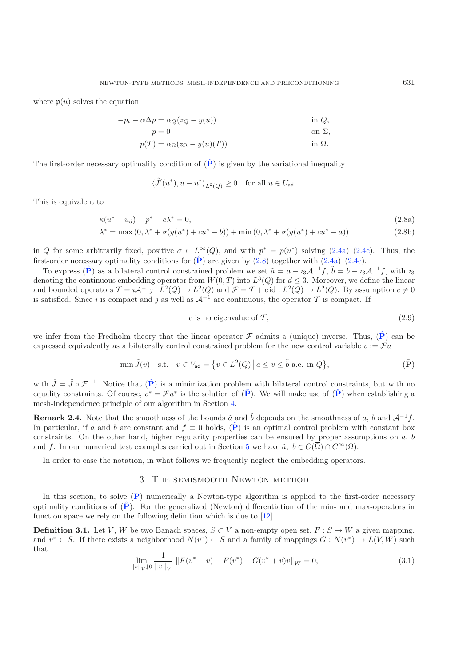<span id="page-5-1"></span>where  $p(u)$  solves the equation

$$
-p_t - \alpha \Delta p = \alpha_Q (z_Q - y(u))
$$
in *Q*,  

$$
p = 0
$$
on  $\Sigma$ ,

<span id="page-5-3"></span>
$$
p(T) = \alpha_{\Omega}(z_{\Omega} - y(u)(T))
$$
 in  $\Omega$ .

The first-order necessary optimality condition of  $(P)$  $(P)$  $(P)$  is given by the variational inequality

<span id="page-5-4"></span>
$$
\langle \hat{J}'(u^*), u - u^* \rangle_{L^2(Q)} \ge 0 \quad \text{for all } u \in U_{\text{ad}}.
$$

This is equivalent to

<span id="page-5-6"></span>
$$
\kappa(u^* - u_d) - p^* + c\lambda^* = 0,\tag{2.8a}
$$

$$
\lambda^* = \max(0, \lambda^* + \sigma(y(u^*) + cu^* - b)) + \min(0, \lambda^* + \sigma(y(u^*) + cu^* - a))
$$
\n(2.8b)

<span id="page-5-2"></span>in Q for some arbitrarily fixed, positive  $\sigma \in L^{\infty}(Q)$ , and with  $p^* = p(u^*)$  solving  $(2.4a)-(2.4c)$  $(2.4a)-(2.4c)$  $(2.4a)-(2.4c)$ . Thus, the first-order necessary optimality conditions for  $(\hat{P})$  $(\hat{P})$  $(\hat{P})$  are given by  $(2.8)$  together with  $(2.4a)-(2.4c)$  $(2.4a)-(2.4c)$  $(2.4a)-(2.4c)$ .

To express  $(\hat{\mathbf{P}})$  $(\hat{\mathbf{P}})$  $(\hat{\mathbf{P}})$  as a bilateral control constrained problem we set  $\tilde{a} = a - i_3 \mathcal{A}^{-1} f$ ,  $\tilde{b} = b - i_3 \mathcal{A}^{-1} f$ , with  $i_3$ denoting the continuous embedding operator from  $W(0,T)$  into  $L^3(Q)$  for  $d \leq 3$ . Moreover, we define the linear and bounded operators  $\mathcal{T} = i \mathcal{A}^{-1} j : L^2(Q) \to L^2(Q)$  and  $\mathcal{F} = \mathcal{T} + c$  id :  $L^2(Q) \to L^2(Q)$ . By assumption  $c \neq 0$ is satisfied. Since *i* is compact and j as well as  $A^{-1}$  are continuous, the operator T is compact. If

$$
- c \text{ is no eigenvalue of } \mathcal{T},\tag{2.9}
$$

we infer from the Fredholm theory that the linear operator  $\mathcal F$  admits a (unique) inverse. Thus,  $(\hat P)$  $(\hat P)$  $(\hat P)$  can be expressed equivalently as a bilaterally control constrained problem for the new control variable  $v := \mathcal{F}u$ 

$$
\min \tilde{J}(v) \quad \text{s.t.} \quad v \in V_{\text{ad}} = \left\{ v \in L^2(Q) \, \middle| \, \tilde{a} \le v \le \tilde{b} \text{ a.e. in } Q \right\},\tag{\tilde{P}}
$$

with  $\tilde{J} = \hat{J} \circ \mathcal{F}^{-1}$ . Notice that  $(\tilde{P})$  $(\tilde{P})$  $(\tilde{P})$  is a minimization problem with bilateral control constraints, but with no equality constraints. Of course,  $v^* = \mathcal{F}u^*$  is the solution of  $(\tilde{P})$  $(\tilde{P})$  $(\tilde{P})$ . We will make use of  $(\tilde{P})$  when establishing a mesh-independence principle of our algorithm in Section [4.](#page-9-0)

**Remark 2.4.** Note that the smoothness of the bounds  $\tilde{a}$  and  $\tilde{b}$  depends on the smoothness of a, b and  $\mathcal{A}^{-1}f$ . In particular, if a and b are constant and  $f \equiv 0$  holds, (**[P](#page-5-2)**) is an optimal control problem with constant box constraints. On the other hand, higher regularity properties can be ensured by proper assumptions on  $a, b$ and f. In our numerical test examples carried out in Section [5](#page-15-0) we have  $\tilde{a}, \tilde{b} \in C(\overline{\Omega}) \cap C^{\infty}(\Omega)$ .

<span id="page-5-5"></span>In order to ease the notation, in what follows we frequently neglect the embedding operators.

### 3. The semismooth Newton method

<span id="page-5-0"></span>In this section, to solve (**[P](#page-3-0)**) numerically a Newton-type algorithm is applied to the first-order necessary optimality conditions of  $(\hat{P})$  $(\hat{P})$  $(\hat{P})$ . For the generalized (Newton) differentiation of the min- and max-operators in function space we rely on the following definition which is due to [\[12\]](#page-26-2).

**Definition 3.1.** Let V, W be two Banach spaces,  $S \subset V$  a non-empty open set,  $F : S \to W$  a given mapping, and  $v^* \in S$ . If there exists a neighborhood  $N(v^*) \subset S$  and a family of mappings  $G: N(v^*) \to L(V,W)$  such that

$$
\lim_{\|v\|_{V}\downarrow 0} \frac{1}{\|v\|_{V}} \|F(v^* + v) - F(v^*) - G(v^* + v)v\|_{W} = 0,
$$
\n(3.1)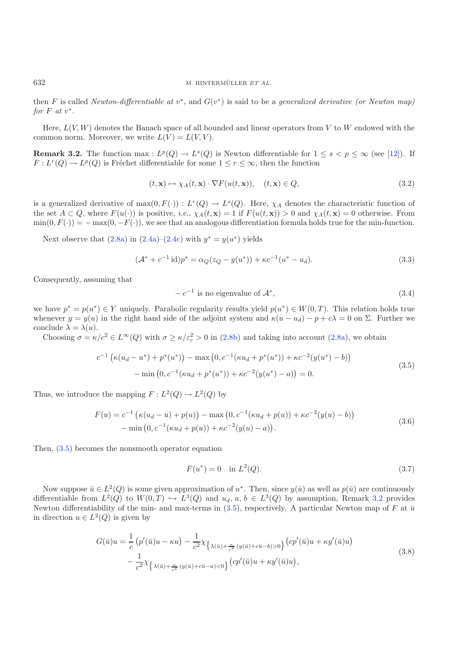then F is called *Newton-differentiable at*  $v^*$ , and  $G(v^*)$  is said to be a *generalized derivative (or Newton map) for*  $F$  *at*  $v^*$ .

<span id="page-6-1"></span>Here,  $L(V, W)$  denotes the Banach space of all bounded and linear operators from V to W endowed with the common norm. Moreover, we write  $L(V) = L(V, V)$ .

**Remark 3.2.** The function max :  $L^p(Q) \to L^s(Q)$  is Newton differentiable for  $1 \leq s \leq p \leq \infty$  (see [\[12](#page-26-2)]). If  $F: L^r(Q) \to L^p(Q)$  is Fréchet differentiable for some  $1 \leq r \leq \infty$ , then the function

<span id="page-6-6"></span>
$$
(t, \mathbf{x}) \mapsto \chi_A(t, \mathbf{x}) \cdot \nabla F(u(t, \mathbf{x})), \quad (t, \mathbf{x}) \in Q,
$$
\n(3.2)

is a generalized derivative of  $max(0, F(\cdot)) : L^r(Q) \to L^s(Q)$ . Here,  $\chi_A$  denotes the characteristic function of the set  $A \subset Q$ , where  $F(u(\cdot))$  is positive, *i.e.*,  $\chi_A(t, \mathbf{x}) = 1$  if  $F(u(t, \mathbf{x})) > 0$  and  $\chi_A(t, \mathbf{x}) = 0$  otherwise. From  $\min(0, F(\cdot)) = -\max(0, -F(\cdot))$ , we see that an analogous differentiation formula holds true for the min-function.

<span id="page-6-0"></span>Next observe that  $(2.8a)$  in  $(2.4a)$ – $(2.4c)$  with  $y^* = y(u^*)$  yields

$$
(\mathcal{A}^* + c^{-1} \mathrm{id}) p^* = \alpha_Q (z_Q - y(u^*)) + \kappa c^{-1} (u^* - u_d). \tag{3.3}
$$

Consequently, assuming that

$$
-c^{-1}
$$
 is no eigenvalue of  $\mathcal{A}^*$ , (3.4)

<span id="page-6-4"></span>we have  $p^* = p(u^*) \in Y$  uniquely. Parabolic regularity results yield  $p(u^*) \in W(0,T)$ . This relation holds true whenever  $y = y(u)$  in the right hand side of the adjoint system and  $\kappa(u - u_d) - p + c\lambda = 0$  on  $\Sigma$ . Further we conclude  $\lambda = \lambda(u)$ .

Choosing  $\sigma = \kappa/c^2 \in L^{\infty}(Q)$  with  $\sigma \ge \kappa/\varepsilon_c^2 > 0$  in  $(2.8b)$  and taking into account  $(2.8a)$ , we obtain

<span id="page-6-2"></span>
$$
c^{-1} \left( \kappa (u_d - u^*) + p^*(u^*) \right) - \max \left( 0, c^{-1} (\kappa u_d + p^*(u^*)) + \kappa c^{-2} (y(u^*) - b) \right)
$$
  
- \min \left( 0, c^{-1} (\kappa u\_d + p^\*(u^\*)) + \kappa c^{-2} (y(u^\*) - a) \right) = 0. (3.5)

Thus, we introduce the mapping  $F: L^2(Q) \to L^2(Q)$  by

$$
F(u) = c^{-1} \left( \kappa (u_d - u) + p(u) \right) - \max \left( 0, c^{-1} (\kappa u_d + p(u)) + \kappa c^{-2} (y(u) - b) \right) - \min \left( 0, c^{-1} (\kappa u_d + p(u)) + \kappa c^{-2} (y(u) - a) \right).
$$
 (3.6)

<span id="page-6-3"></span>Then, [\(3.5\)](#page-6-0) becomes the nonsmooth operator equation

$$
F(u^*) = 0 \quad \text{in } L^2(Q). \tag{3.7}
$$

Now suppose  $\bar{u} \in L^2(Q)$  is some given approximation of  $u^*$ . Then, since  $y(\bar{u})$  as well as  $p(\bar{u})$  are continuously differentiable from  $L^2(Q)$  to  $W(0,T) \hookrightarrow L^3(Q)$  and  $u_d, a, b \in L^3(Q)$  by assumption, Remark [3.2](#page-6-1) provides Newton differentiability of the min- and max-terms in [\(3.5\)](#page-6-0), respectively. A particular Newton map of F at  $\bar{u}$ in direction  $u \in L^2(Q)$  is given by

$$
G(\bar{u})u = \frac{1}{c} \left( p'(\bar{u})u - \kappa u \right) - \frac{1}{c^2} \chi_{\left\{ \lambda(\bar{u}) + \frac{\kappa}{c^2} \left( y(\bar{u}) + c\bar{u} - b \right) > 0 \right\}} \left( cp'(\bar{u})u + \kappa y'(\bar{u})u \right) - \frac{1}{c^2} \chi_{\left\{ \lambda(\bar{u}) + \frac{\kappa}{c^2} \left( y(\bar{u}) + c\bar{u} - a \right) < 0 \right\}} \left( cp'(\bar{u})u + \kappa y'(\bar{u})u \right),
$$
\n(3.8)

<span id="page-6-5"></span>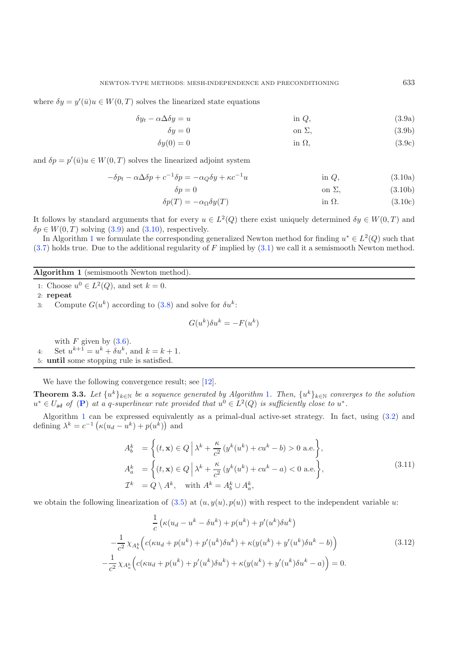where  $\delta y = y'(\bar{u})u \in W(0,T)$  solves the linearized state equations

<span id="page-7-1"></span><span id="page-7-0"></span>
$$
\delta y_t - \alpha \Delta \delta y = u \qquad \qquad \text{in } Q,\tag{3.9a}
$$

$$
\delta y = 0 \qquad \text{on } \Sigma,\tag{3.9b}
$$

$$
\delta y(0) = 0 \qquad \qquad \text{in } \Omega,\tag{3.9c}
$$

and  $\delta p = p'(\bar{u})u \in W(0,T)$  solves the linearized adjoint system

$$
-\delta p_t - \alpha \Delta \delta p + c^{-1} \delta p = -\alpha_Q \delta y + \kappa c^{-1} u \qquad \text{in } Q,
$$
 (3.10a)  
\n
$$
\delta p = 0 \qquad \text{on } \Sigma,
$$
 (3.10b)

$$
\delta p(T) = -\alpha_{\Omega} \delta y(T) \qquad \text{in } \Omega. \tag{3.10c}
$$

It follows by standard arguments that for every  $u \in L^2(Q)$  there exist uniquely determined  $\delta y \in W(0,T)$  and  $\delta p \in W(0,T)$  solving [\(3.9\)](#page-7-0) and [\(3.10\)](#page-7-1), respectively.

In Algorithm [1](#page-7-2) we formulate the corresponding generalized Newton method for finding  $u^* \in L^2(Q)$  such that  $(3.7)$  holds true. Due to the additional regularity of F implied by  $(3.1)$  we call it a semismooth Newton method.

# <span id="page-7-2"></span>**Algorithm 1** (semismooth Newton method).

1: Choose  $u^0 \in L^2(Q)$ , and set  $k = 0$ .

2: **repeat**

3: Compute  $G(u^k)$  according to [\(3.8\)](#page-6-3) and solve for  $\delta u^k$ :

$$
G(u^k)\delta u^k = -F(u^k)
$$

<span id="page-7-3"></span>with  $F$  given by  $(3.6)$ . 4: Set  $u^{k+1} = u^k + \delta u^k$ , and  $k = k + 1$ . 5: **until** some stopping rule is satisfied.

We have the following convergence result; see [\[12\]](#page-26-2).

**Theorem 3.3.** *Let*  $\{u^k\}_{k\in\mathbb{N}}$  *be a sequence generated by Algorithm* [1](#page-7-2)*. Then,*  $\{u^k\}_{k\in\mathbb{N}}$  *converges to the solution*  $u^* \in U_{ad}$  of ([P](#page-3-0)) at a q-superlinear rate provided that  $u^0 \in L^2(Q)$  is sufficiently close to  $u^*$ .

Algorithm [1](#page-7-2) can be expressed equivalently as a primal-dual active-set strategy. In fact, using [\(3.2\)](#page-6-5) and defining  $\lambda^k = c^{-1} \left( \kappa (u_d - u^k) + p(u^k) \right)$  and

$$
A_b^k = \left\{ (t, \mathbf{x}) \in Q \, \Big| \, \lambda^k + \frac{\kappa}{c^2} \left( y^k (u^k) + cu^k - b \right) > 0 \text{ a.e.} \right\},
$$
\n
$$
A_a^k = \left\{ (t, \mathbf{x}) \in Q \, \Big| \, \lambda^k + \frac{\kappa}{c^2} \left( y^k (u^k) + cu^k - a \right) < 0 \text{ a.e.} \right\},
$$
\n
$$
\mathcal{I}^k = Q \setminus A^k, \quad \text{with } A^k = A_b^k \cup A_a^k,
$$
\n
$$
(3.11)
$$

we obtain the following linearization of  $(3.5)$  at  $(u, y(u), p(u))$  with respect to the independent variable u:

$$
\frac{1}{c} \left( \kappa (u_d - u^k - \delta u^k) + p(u^k) + p'(u^k) \delta u^k \right) \n- \frac{1}{c^2} \chi_{A_a^k} \left( c(\kappa u_d + p(u^k) + p'(u^k) \delta u^k) + \kappa (y(u^k) + y'(u^k) \delta u^k - b) \right) \n- \frac{1}{c^2} \chi_{A_a^k} \left( c(\kappa u_d + p(u^k) + p'(u^k) \delta u^k) + \kappa (y(u^k) + y'(u^k) \delta u^k - a) \right) = 0.
$$
\n(3.12)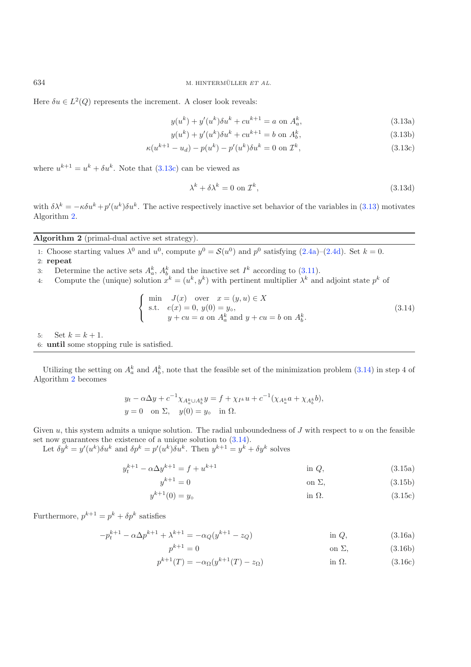Here  $\delta u \in L^2(Q)$  represents the increment. A closer look reveals:

<span id="page-8-5"></span><span id="page-8-1"></span><span id="page-8-0"></span>
$$
y(u^k) + y'(u^k)\delta u^k + cu^{k+1} = a \text{ on } A_a^k,
$$
\n(3.13a)

$$
y(u^k) + y'(u^k)\delta u^k + cu^{k+1} = b \text{ on } A_b^k,
$$
\n(3.13b)

$$
\kappa(u^{k+1} - u_d) - p(u^k) - p'(u^k)\delta u^k = 0 \text{ on } \mathcal{I}^k,
$$
\n(3.13c)

where  $u^{k+1} = u^k + \delta u^k$ . Note that  $(3.13c)$  can be viewed as

$$
\lambda^k + \delta \lambda^k = 0 \text{ on } \mathcal{I}^k,
$$
\n(3.13d)

<span id="page-8-3"></span>with  $\delta \lambda^k = -\kappa \delta u^k + p'(u^k) \delta u^k$ . The active respectively inactive set behavior of the variables in [\(3.13\)](#page-8-1) motivates Algorithm [2.](#page-8-2)

# <span id="page-8-2"></span>**Algorithm 2** (primal-dual active set strategy).

- 1: Choose starting values  $\lambda^0$  and  $u^0$ , compute  $y^0 = \mathcal{S}(u^0)$  and  $p^0$  satisfying [\(2.4a\)](#page-3-2)–[\(2.4d\)](#page-3-4). Set  $k = 0$ . 2: **repeat**
- 3: Determine the active sets  $A_a^k$ ,  $A_b^k$  and the inactive set  $I^k$  according to [\(3.11\)](#page-7-3).
- 4: Compute the (unique) solution  $x^k = (u^k, y^k)$  with pertinent multiplier  $\lambda^k$  and adjoint state  $p^k$  of

<span id="page-8-4"></span>
$$
\begin{cases}\n\min \quad J(x) \quad \text{over} \quad x = (y, u) \in X \\
\text{s.t.} \quad e(x) = 0, \ y(0) = y_0, \\
y + cu = a \text{ on } A_a^k \text{ and } y + cu = b \text{ on } A_b^k.\n\end{cases} (3.14)
$$

5: Set  $k = k + 1$ . 6: **until** some stopping rule is satisfied.

Utilizing the setting on  $A_a^k$  and  $A_b^k$ , note that the feasible set of the minimization problem [\(3.14\)](#page-8-3) in step 4 of Algorithm [2](#page-8-2) becomes

$$
y_t - \alpha \Delta y + c^{-1} \chi_{A_a^k \cup A_b^k} y = f + \chi_{I^k} u + c^{-1} (\chi_{A_a^k} a + \chi_{A_b^k} b),
$$
  
 
$$
y = 0 \text{ on } \Sigma, \quad y(0) = y_0 \text{ in } \Omega.
$$

Given  $u$ , this system admits a unique solution. The radial unboundedness of  $J$  with respect to  $u$  on the feasible set now guarantees the existence of a unique solution to [\(3.14\)](#page-8-3).

Let  $\delta y^k = y'(u^k)\delta u^k$  and  $\delta p^k = p'(u^k)\delta u^k$ . Then  $y^{k+1} = y^{k'} + \delta y^k$  solves

$$
t^{k+1} - \alpha \Delta y^{k+1} = f + u^{k+1} \qquad \text{in } Q,
$$
\n(3.15a)

$$
y^{k+1} = 0 \qquad \qquad \text{on } \Sigma,\tag{3.15b}
$$

$$
y^{k+1}(0) = y_{\circ}
$$
 in  $\Omega$ . (3.15c)

Furthermore,  $p^{k+1} = p^k + \delta p^k$  satisfies

 $y_t^k$ 

$$
-p_t^{k+1} - \alpha \Delta p^{k+1} + \lambda^{k+1} = -\alpha_Q (y^{k+1} - z_Q) \qquad \text{in } Q,
$$
\n(3.16a)

$$
p^{k+1} = 0 \qquad \qquad \text{on } \Sigma,\tag{3.16b}
$$

$$
p^{k+1}(T) = -\alpha_{\Omega}(y^{k+1}(T) - z_{\Omega})
$$
 in  $\Omega$ . (3.16c)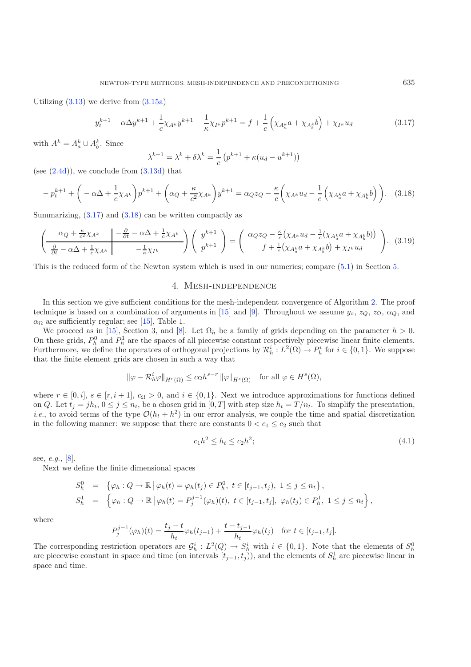<span id="page-9-2"></span><span id="page-9-1"></span>Utilizing  $(3.13)$  we derive from  $(3.15a)$ 

$$
y_t^{k+1} - \alpha \Delta y^{k+1} + \frac{1}{c} \chi_{A^k} y^{k+1} - \frac{1}{\kappa} \chi_{I^k} p^{k+1} = f + \frac{1}{c} \left( \chi_{A_a^k} a + \chi_{A_b^k} b \right) + \chi_{I^k} u_d \tag{3.17}
$$

with  $A^k = A_a^k \cup A_b^k$ . Since

$$
\lambda^{k+1} = \lambda^k + \delta \lambda^k = \frac{1}{c} \left( p^{k+1} + \kappa (u_d - u^{k+1}) \right)
$$

(see  $(2.4d)$ ), we conclude from  $(3.13d)$  that

$$
-p_t^{k+1} + \left(-\alpha \Delta + \frac{1}{c} \chi_{A^k}\right) p^{k+1} + \left(\alpha_Q + \frac{\kappa}{c^2} \chi_{A^k}\right) y^{k+1} = \alpha_Q z_Q - \frac{\kappa}{c} \left(\chi_{A^k} u_d - \frac{1}{c} \left(\chi_{A^k_a} a + \chi_{A^k_b} b\right)\right). \tag{3.18}
$$

Summarizing,  $(3.17)$  and  $(3.18)$  can be written compactly as

$$
\left(\frac{\alpha_Q + \frac{\kappa}{c^2} \chi_{A^k}}{\frac{\partial}{\partial t} - \alpha \Delta + \frac{1}{c} \chi_{A^k}} \left| \frac{-\frac{\partial}{\partial t} - \alpha \Delta + \frac{1}{c} \chi_{A^k}}{-\frac{1}{\kappa} \chi_{I^k}} \right| \right) \left(\begin{array}{c} y^{k+1} \\ p^{k+1} \end{array}\right) = \left(\begin{array}{c} \alpha_Q z_Q - \frac{\kappa}{c} \left( \chi_{A^k} u_d - \frac{1}{c} (\chi_{A^k_a} a + \chi_{A^k_b} b) \right) \\ f + \frac{1}{c} \left( \chi_{A^k_a} a + \chi_{A^k_b} b \right) + \chi_{I^k} u_d \end{array}\right). (3.19)
$$

<span id="page-9-0"></span>This is the reduced form of the Newton system which is used in our numerics; compare [\(5.1\)](#page-20-0) in Section [5.](#page-15-0)

# 4. Mesh-independence

In this section we give sufficient conditions for the mesh-independent convergence of Algorithm [2.](#page-8-2) The proof technique is based on a combination of arguments in [\[15](#page-26-9)] and [\[9\]](#page-26-4). Throughout we assume  $y_0$ ,  $z_0$ ,  $z_0$ ,  $\alpha_Q$ , and  $\alpha_{\Omega}$  are sufficiently regular; see [\[15\]](#page-26-9), Table 1.

We proceed as in [\[15\]](#page-26-9), Section 3, and [\[8\]](#page-25-5). Let  $\Omega_h$  be a family of grids depending on the parameter  $h > 0$ . On these grids,  $P_h^0$  and  $P_h^1$  are the spaces of all piecewise constant respectively piecewise linear finite elements. Furthermore, we define the operators of orthogonal projections by  $\mathcal{R}_h^i : L^2(\Omega) \to P_h^i$  for  $i \in \{0,1\}$ . We suppose that the finite element grids are chosen in such a way that

$$
\|\varphi - \mathcal{R}_h^i \varphi\|_{H^r(\Omega)} \le c_{\Omega} h^{s-r} \|\varphi\|_{H^s(\Omega)} \quad \text{for all } \varphi \in H^s(\Omega),
$$

where  $r \in [0, i]$ ,  $s \in [r, i + 1]$ ,  $c_{\Omega} > 0$ , and  $i \in \{0, 1\}$ . Next we introduce approximations for functions defined on Q. Let  $t_j = jh_t, 0 \le j \le n_t$ , be a chosen grid in  $[0, T]$  with step size  $h_t = T/n_t$ . To simplify the presentation, *i.e.*, to avoid terms of the type  $\mathcal{O}(h_t + h^2)$  in our error analysis, we couple the time and spatial discretization in the following manner: we suppose that there are constants  $0 < c_1 \leq c_2$  such that

$$
c_1 h^2 \le h_t \le c_2 h^2; \tag{4.1}
$$

see, *e.g.*, [\[8](#page-25-5)].

Next we define the finite dimensional spaces

$$
S_h^0 = \{ \varphi_h : Q \to \mathbb{R} \mid \varphi_h(t) = \varphi_h(t_j) \in P_h^0, \ t \in [t_{j-1}, t_j), \ 1 \le j \le n_t \},
$$
  

$$
S_h^1 = \{ \varphi_h : Q \to \mathbb{R} \mid \varphi_h(t) = P_j^{j-1}(\varphi_h)(t), \ t \in [t_{j-1}, t_j], \ \varphi_h(t_j) \in P_h^1, \ 1 \le j \le n_t \},
$$

where

$$
P_j^{j-1}(\varphi_h)(t) = \frac{t_j - t}{h_t} \varphi_h(t_{j-1}) + \frac{t - t_{j-1}}{h_t} \varphi_h(t_j) \quad \text{for } t \in [t_{j-1}, t_j].
$$

The corresponding restriction operators are  $\mathcal{G}_h^i : L^2(Q) \to S_h^i$  with  $i \in \{0,1\}$ . Note that the elements of  $S_h^0$ are piecewise constant in space and time (on intervals  $[t_{j-1}, t_j)$ ), and the elements of  $S_h^1$  are piecewise linear in space and time.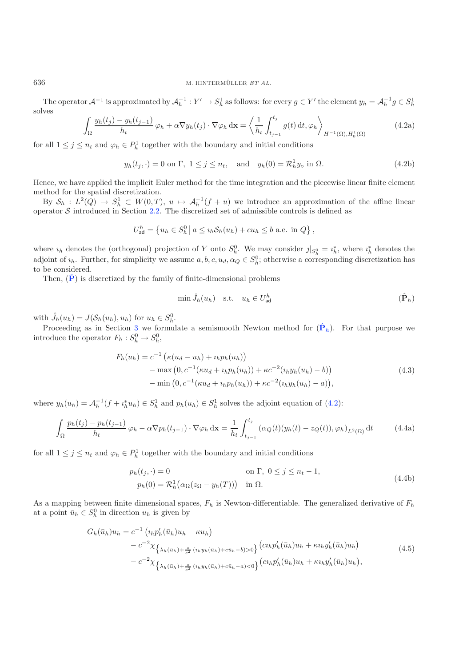# <span id="page-10-1"></span>636 M. HINTERMÜLLER ET AL.

The operator  $\mathcal{A}^{-1}$  is approximated by  $\mathcal{A}_h^{-1}: Y' \to S_h^1$  as follows: for every  $g \in Y'$  the element  $y_h = \mathcal{A}_h^{-1} g \in S_h^1$ solves

$$
\int_{\Omega} \frac{y_h(t_j) - y_h(t_{j-1})}{h_t} \varphi_h + \alpha \nabla y_h(t_j) \cdot \nabla \varphi_h \, \mathrm{d}\mathbf{x} = \left\langle \frac{1}{h_t} \int_{t_{j-1}}^{t_j} g(t) \, \mathrm{d}t, \varphi_h \right\rangle_{H^{-1}(\Omega), H_0^1(\Omega)}
$$
(4.2a)

for all  $1 \leq j \leq n_t$  and  $\varphi_h \in P_h^1$  together with the boundary and initial conditions

<span id="page-10-0"></span>
$$
y_h(t_j, \cdot) = 0 \text{ on } \Gamma, \ 1 \le j \le n_t, \quad \text{and} \quad y_h(0) = \mathcal{R}_h^1 y_\circ \text{ in } \Omega. \tag{4.2b}
$$

Hence, we have applied the implicit Euler method for the time integration and the piecewise linear finite element method for the spatial discretization.

By  $S_h : L^2(Q) \to S_h^1 \subset W(0,T)$ ,  $u \mapsto \mathcal{A}_h^{-1}(f+u)$  we introduce an approximation of the affine linear operator  $S$  introduced in Section [2.2.](#page-3-5) The discretized set of admissible controls is defined as

$$
U_{\mathsf{ad}}^h = \left\{ u_h \in S_h^0 \, \middle| \, a \leq u_h \mathcal{S}_h(u_h) + cu_h \leq b \text{ a.e. in } Q \right\},\
$$

where  $i_h$  denotes the (orthogonal) projection of Y onto  $S_h^0$ . We may consider  $j|_{S_h^0} = i_h^*$ , where  $i_h^*$  denotes the adjoint of  $i_h$ . Further, for simplicity we assume  $a, b, c, u_d, \alpha_Q \in S_h^0$ ; otherwise a corresponding discretization has to be considered.

Then,  $(\dot{P})$  $(\dot{P})$  $(\dot{P})$  is discretized by the family of finite-dimensional problems

$$
\min \hat{J}_h(u_h) \quad \text{s.t.} \quad u_h \in U_{\text{ad}}^h \tag{Ph}
$$

with  $\hat{J}_h(u_h) = J(\mathcal{S}_h(u_h), u_h)$  for  $u_h \in S_h^0$ .

Proceeding as in Section [3](#page-5-0) we formulate a semismooth Newton method for  $(\hat{\mathbf{P}}_h)$  $(\hat{\mathbf{P}}_h)$  $(\hat{\mathbf{P}}_h)$ . For that purpose we introduce the operator  $F_h: S_h^0 \to S_h^0$ ,

$$
F_h(u_h) = c^{-1} \left( \kappa (u_d - u_h) + i_h p_h(u_h) \right)
$$
  
- max  $(0, c^{-1} (\kappa u_d + i_h p_h(u_h)) + \kappa c^{-2} (i_h y_h(u_h) - b))$   
- min  $(0, c^{-1} (\kappa u_d + i_h p_h(u_h)) + \kappa c^{-2} (i_h y_h(u_h) - a)),$  (4.3)

where  $y_h(u_h) = A_h^{-1}(f + i_h^* u_h) \in S_h^1$  and  $p_h(u_h) \in S_h^1$  solves the adjoint equation of [\(4.2\)](#page-10-1):

$$
\int_{\Omega} \frac{p_h(t_j) - p_h(t_{j-1})}{h_t} \varphi_h - \alpha \nabla p_h(t_{j-1}) \cdot \nabla \varphi_h \, \mathrm{d}\mathbf{x} = \frac{1}{h_t} \int_{t_{j-1}}^{t_j} \left( \alpha_Q(t) (y_h(t) - z_Q(t)), \varphi_h \right)_{L^2(\Omega)} \mathrm{d}t \tag{4.4a}
$$

<span id="page-10-2"></span>for all  $1 \leq j \leq n_t$  and  $\varphi_h \in P_h^1$  together with the boundary and initial conditions

$$
p_h(t_j, \cdot) = 0 \qquad \text{on } \Gamma, \ 0 \le j \le n_t - 1,
$$
  
\n
$$
p_h(0) = \mathcal{R}_h^1(\alpha_\Omega(z_\Omega - y_h(T))) \quad \text{in } \Omega.
$$
\n(4.4b)

As a mapping between finite dimensional spaces,  $F_h$  is Newton-differentiable. The generalized derivative of  $F_h$ at a point  $\bar{u}_h \in S_h^0$  in direction  $u_h$  is given by

$$
G_h(\bar{u}_h)u_h = c^{-1} \left( \iota_h p'_h(\bar{u}_h)u_h - \kappa u_h \right) - c^{-2} \chi_{\left\{ \lambda_h(\bar{u}_h) + \frac{\kappa}{c^2} (\iota_h y_h(\bar{u}_h) + c\bar{u}_h - b) > 0 \right\}} \left( \iota_h p'_h(\bar{u}_h)u_h + \kappa u_h y'_h(\bar{u}_h)u_h \right) - c^{-2} \chi_{\left\{ \lambda_h(\bar{u}_h) + \frac{\kappa}{c^2} (\iota_h y_h(\bar{u}_h) + c\bar{u}_h - a) < 0 \right\}} \left( \iota_h p'_h(\bar{u}_h)u_h + \kappa u_h y'_h(\bar{u}_h)u_h \right),
$$
\n(4.5)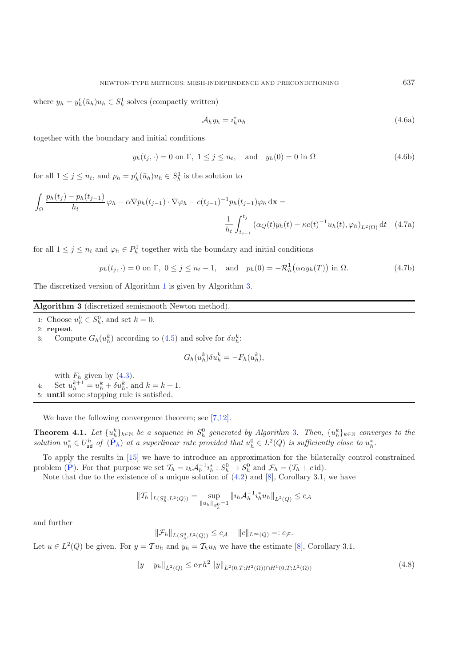where  $y_h = y'_h(\bar{u}_h)u_h \in S_h^1$  solves (compactly written)

$$
\mathcal{A}_h y_h = i_h^* u_h \tag{4.6a}
$$

together with the boundary and initial conditions

 $y_h(t_i, \cdot) = 0$  on  $\Gamma$ ,  $1 \leq j \leq n_t$ , and  $y_h(0) = 0$  in  $\Omega$  (4.6b)

for all  $1 \leq j \leq n_t$ , and  $p_h = p'_h(\bar{u}_h)u_h \in S_h^1$  is the solution to

$$
\int_{\Omega} \frac{p_h(t_j) - p_h(t_{j-1})}{h_t} \varphi_h - \alpha \nabla p_h(t_{j-1}) \cdot \nabla \varphi_h - c(t_{j-1})^{-1} p_h(t_{j-1}) \varphi_h \, \mathrm{d}\mathbf{x} =
$$
\n
$$
\frac{1}{h_t} \int_{t_{j-1}}^{t_j} (\alpha_Q(t) y_h(t) - \kappa c(t)^{-1} u_h(t), \varphi_h)_{L^2(\Omega)} \, \mathrm{d}t \quad (4.7a)
$$

for all  $1 \leq j \leq n_t$  and  $\varphi_h \in P_h^1$  together with the boundary and initial conditions

$$
p_h(t_j, \cdot) = 0 \text{ on } \Gamma, \ 0 \le j \le n_t - 1, \quad \text{and} \quad p_h(0) = -\mathcal{R}_h^1\big(\alpha_\Omega y_h(T)\big) \text{ in } \Omega. \tag{4.7b}
$$

The discretized version of Algorithm [1](#page-7-2) is given by Algorithm [3.](#page-11-0)

### <span id="page-11-0"></span>**Algorithm 3** (discretized semismooth Newton method).

1: Choose  $u_h^0 \in S_h^0$ , and set  $k = 0$ .

2: **repeat**

3: Compute  $G_h(u_h^k)$  according to [\(4.5\)](#page-10-2) and solve for  $\delta u_h^k$ :

$$
G_h(u_h^k)\delta u_h^k = -F_h(u_h^k),
$$

with  $F_h$  given by  $(4.3)$ . 4: Set  $u_h^{k+1} = u_h^k + \delta u_h^k$ , and  $k = k + 1$ . 5: **until** some stopping rule is satisfied.

We have the following convergence theorem; see [\[7](#page-25-6)[,12\]](#page-26-2).

**Theorem 4.1.** Let  $\{u_h^k\}_{k\in\mathbb{N}}$  be a sequence in  $S_h^0$  generated by Algorithm [3](#page-11-0). Then,  $\{u_h^k\}_{k\in\mathbb{N}}$  converges to the solution  $u_h^* \in U_{ad}^h$  of  $(\hat{P}_h)$  $(\hat{P}_h)$  $(\hat{P}_h)$  at a superlinear rate provided that  $u_h^0 \in L^2(Q)$  is sufficiently close to  $u_h^*$ .

<span id="page-11-1"></span>To apply the results in [\[15\]](#page-26-9) we have to introduce an approximation for the bilaterally control constrained problem  $(\tilde{\mathbf{P}})$  $(\tilde{\mathbf{P}})$  $(\tilde{\mathbf{P}})$ . For that purpose we set  $\mathcal{T}_h = i_h \mathcal{A}_h^{-1} i_h^* : S_h^0 \to S_h^0$  and  $\mathcal{F}_h = (\mathcal{T}_h + c \operatorname{id}).$ 

Note that due to the existence of a unique solution of  $(4.2)$  and  $[8]$  $[8]$ , Corollary 3.1, we have

$$
||\mathcal{T}_h||_{L(S_h^0, L^2(Q))} = \sup_{||u_h||_{S_h^0}} ||u_h \mathcal{A}_h^{-1} i_h^* u_h||_{L^2(Q)} \leq c_{\mathcal{A}}
$$

and further

$$
\|\mathcal{F}_h\|_{L(S_h^0, L^2(Q))} \leq c_{\mathcal{A}} + \|c\|_{L^\infty(Q)} =: c_{\mathcal{F}}.
$$

Let  $u \in L^2(Q)$  be given. For  $y = \mathcal{T}u_h$  and  $y_h = \mathcal{T}_h u_h$  we have the estimate [\[8\]](#page-25-5), Corollary 3.1,

$$
||y - y_h||_{L^2(Q)} \le c_T h^2 ||y||_{L^2(0,T;H^2(\Omega)) \cap H^1(0,T;L^2(\Omega))}
$$
\n(4.8)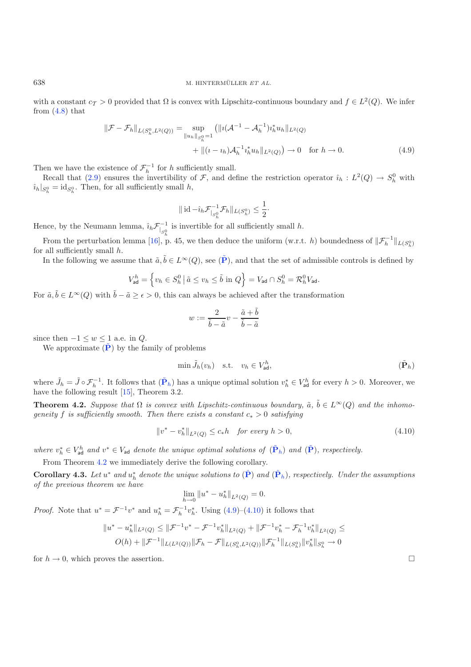with a constant  $c_T > 0$  provided that  $\Omega$  is convex with Lipschitz-continuous boundary and  $f \in L^2(Q)$ . We infer from  $(4.8)$  that

$$
\|\mathcal{F} - \mathcal{F}_h\|_{L(S_h^0, L^2(Q))} = \sup_{\|u_h\|_{S_h^0} = 1} (\|i(\mathcal{A}^{-1} - \mathcal{A}_h^{-1})i_h^* u_h\|_{L^2(Q)} + \| (i - i_h)\mathcal{A}_h^{-1} i_h^* u_h\|_{L^2(Q)}) \to 0 \quad \text{for } h \to 0.
$$
\n(4.9)

Then we have the existence of  $\mathcal{F}_h^{-1}$  for h sufficiently small.

Recall that [\(2.9\)](#page-5-6) ensures the invertibility of F, and define the restriction operator  $\hat{i}_h : L^2(Q) \to S_h^0$  with  $\hat{u}_h|_{S_h^0} = \text{id}_{S_h^0}$ . Then, for all sufficiently small h,

$$
\|\operatorname{id} - \hat{\imath}_h \mathcal{F}_{|_{S_h^0}}^{-1} \mathcal{F}_h\|_{L(S_h^0)} \le \frac{1}{2}.
$$

Hence, by the Neumann lemma,  $\hat{i}_h \mathcal{F}_{|_{S_k^0}}^{-1}$  is invertible for all sufficiently small h.

From the perturbation lemma [\[16\]](#page-26-10), p. 45, we then deduce the uniform (w.r.t. h) boundedness of  $\|\mathcal{F}_h^{-1}\|_{L(S_h^0)}$ for all sufficiently small h.

In the following we assume that  $\tilde{a}, \tilde{b} \in L^{\infty}(Q)$ , see  $(\tilde{P})$  $(\tilde{P})$  $(\tilde{P})$ , and that the set of admissible controls is defined by

<span id="page-12-0"></span>
$$
V_{\mathsf{ad}}^h = \left\{ v_h \in S_h^0 \, \middle| \, \tilde{a} \le v_h \le \tilde{b} \text{ in } Q \right\} = V_{\mathsf{ad}} \cap S_h^0 = \mathcal{R}_h^0 V_{\mathsf{ad}}.
$$

For  $\tilde{a}, \tilde{b} \in L^{\infty}(Q)$  with  $\tilde{b} - \tilde{a} \ge \epsilon > 0$ , this can always be achieved after the transformation

$$
w:=\frac{2}{\tilde{b}-\tilde{a}}v-\frac{\tilde{a}+\tilde{b}}{\tilde{b}-\tilde{a}}
$$

since then  $-1 \leq w \leq 1$  a.e. in  $Q$ .

We approximate  $(\tilde{\mathbf{P}})$  $(\tilde{\mathbf{P}})$  $(\tilde{\mathbf{P}})$  by the family of problems

$$
\min \tilde{J}_h(v_h) \quad \text{s.t.} \quad v_h \in V_{\text{ad}}^h,\tag{  $\tilde{\mathbf{P}}_h$  }
$$

where  $\tilde{J}_h = \tilde{J} \circ \mathcal{F}_h^{-1}$ . It follows that  $(\tilde{\mathbf{P}}_h)$  $(\tilde{\mathbf{P}}_h)$  $(\tilde{\mathbf{P}}_h)$  has a unique optimal solution  $v_h^* \in V_{ad}^h$  for every  $h > 0$ . Moreover, we have the following result  $[15]$ , Theorem 3.2.

<span id="page-12-1"></span>**Theorem 4.2.** *Suppose that*  $\Omega$  *is convex with Lipschitz-continuous boundary,*  $\tilde{a}$ ,  $\tilde{b} \in L^{\infty}(Q)$  *and the inhomogeneity* f *is sufficiently smooth. Then there exists a constant*  $c_* > 0$  *satisfying* 

$$
||v^* - v_h^*||_{L^2(Q)} \le c_* h \quad \text{for every } h > 0,
$$
\n(4.10)

where  $v_h^* \in V_{ad}^h$  and  $v^* \in V_{ad}$  denote the unique optimal solutions of  $(\tilde{\mathbf{P}}_h)$  $(\tilde{\mathbf{P}}_h)$  $(\tilde{\mathbf{P}}_h)$  and  $(\tilde{\mathbf{P}})$ *, respectively.* 

From Theorem [4.2](#page-12-1) we immediately derive the following corollary.

<span id="page-12-3"></span>**Corollary 4.3.** Let  $u^*$  and  $u_h^*$  denote the unique solutions to  $(\hat{\mathbf{P}})$  $(\hat{\mathbf{P}})$  $(\hat{\mathbf{P}})$  and  $(\hat{\mathbf{P}}_h)$ , respectively. Under the assumptions *of the previous theorem we have*

$$
\lim_{h \to 0} \|u^* - u_h^*\|_{L^2(Q)} = 0.
$$

*Proof.* Note that  $u^* = \mathcal{F}^{-1}v^*$  and  $u_h^* = \mathcal{F}_h^{-1}v_h^*$ . Using [\(4.9\)](#page-12-2)–[\(4.10\)](#page-12-0) it follows that

$$
||u^* - u_h^*||_{L^2(Q)} \le ||\mathcal{F}^{-1}v^* - \mathcal{F}^{-1}v_h^*||_{L^2(Q)} + ||\mathcal{F}^{-1}v_h^* - \mathcal{F}_h^{-1}v_h^*||_{L^2(Q)} \le
$$
  

$$
O(h) + ||\mathcal{F}^{-1}||_{L(L^2(Q))}||\mathcal{F}_h - \mathcal{F}||_{L(S_h^0, L^2(Q))}||\mathcal{F}_h^{-1}||_{L(S_h^0)}||v_h^*||_{S_h^0} \to 0
$$

for  $h \to 0$ , which proves the assertion.  $\Box$ 

<span id="page-12-2"></span>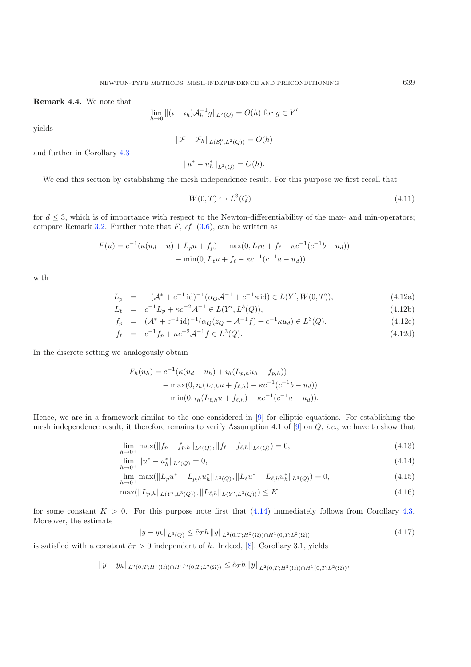**Remark 4.4.** We note that

$$
\lim_{h \to 0} \|(i - i_h)\mathcal{A}_h^{-1}g\|_{L^2(Q)} = O(h) \text{ for } g \in Y'
$$

yields

$$
\|\mathcal{F} - \mathcal{F}_h\|_{L(S_h^0, L^2(Q))} = O(h)
$$

and further in Corollary [4.3](#page-12-3)

 $||u^* - u_h^*||_{L^2(Q)} = O(h).$ 

We end this section by establishing the mesh independence result. For this purpose we first recall that

<span id="page-13-4"></span><span id="page-13-0"></span>
$$
W(0,T) \hookrightarrow L^3(Q) \tag{4.11}
$$

for  $d \leq 3$ , which is of importance with respect to the Newton-differentiability of the max- and min-operators; compare Remark [3.2.](#page-6-1) Further note that  $F$ ,  $cf.$  [\(3.6\)](#page-6-4), can be written as

$$
F(u) = c^{-1}(\kappa(u_d - u) + L_p u + f_p) - \max(0, L_\ell u + f_\ell - \kappa c^{-1}(c^{-1}b - u_d)) - \min(0, L_\ell u + f_\ell - \kappa c^{-1}(c^{-1}a - u_d))
$$

with

$$
L_p = -(\mathcal{A}^* + c^{-1} \operatorname{id})^{-1} (\alpha_Q \mathcal{A}^{-1} + c^{-1} \kappa \operatorname{id}) \in L(Y', W(0, T)), \tag{4.12a}
$$

$$
L_{\ell} = c^{-1}L_p + \kappa c^{-2} \mathcal{A}^{-1} \in L(Y', L^3(Q)), \tag{4.12b}
$$

$$
f_p = (\mathcal{A}^* + c^{-1} \text{id})^{-1} (\alpha_Q (z_Q - \mathcal{A}^{-1} f) + c^{-1} \kappa u_d) \in L^3(Q), \tag{4.12c}
$$

$$
f_{\ell} = c^{-1}f_p + \kappa c^{-2} \mathcal{A}^{-1}f \in L^3(Q). \tag{4.12d}
$$

In the discrete setting we analogously obtain

<span id="page-13-3"></span><span id="page-13-2"></span>
$$
F_h(u_h) = c^{-1}(\kappa(u_d - u_h) + i_h(L_{p,h}u_h + f_{p,h}))
$$
  
- max(0, i<sub>h</sub>(L<sub>ell,h</sub>u + f<sub>ell,h</sub>) - \kappa c^{-1}(c^{-1}b - u\_d))  
- min(0, i<sub>h</sub>(L<sub>ell,h</sub>u + f<sub>ell,h</sub>) - \kappa c^{-1}(c^{-1}a - u\_d)).

<span id="page-13-1"></span>Hence, we are in a framework similar to the one considered in [\[9\]](#page-26-4) for elliptic equations. For establishing the mesh independence result, it therefore remains to verify Assumption 4.1 of [\[9](#page-26-4)] on Q, *i.e.*, we have to show that

$$
\lim_{h \to 0^+} \max(||f_p - f_{p,h}||_{L^3(Q)}, ||f_\ell - f_{\ell,h}||_{L^3(Q)}) = 0,
$$
\n(4.13)

$$
\lim_{h \to 0^+} \|u^* - u_h^*\|_{L^2(Q)} = 0,\tag{4.14}
$$

$$
\lim_{h \to 0^+} \max(||L_p u^* - L_{p,h} u_h^*||_{L^3(Q)}, ||L_\ell u^* - L_{\ell,h} u_h^*||_{L^3(Q)}) = 0,
$$
\n(4.15)

$$
\max(\|L_{p,h}\|_{L(Y',L^3(Q))},\|L_{\ell,h}\|_{L(Y',L^3(Q))}) \le K \tag{4.16}
$$

for some constant  $K > 0$ . For this purpose note first that  $(4.14)$  immediately follows from Corollary [4.3.](#page-12-3) Moreover, the estimate

$$
||y - y_h||_{L^3(Q)} \leq \tilde{c}_T h ||y||_{L^2(0,T;H^2(\Omega)) \cap H^1(0,T;L^2(\Omega))}
$$
\n(4.17)

is satisfied with a constant  $\tilde{c}_T > 0$  independent of h. Indeed, [\[8](#page-25-5)], Corollary 3.1, yields

 $||y - y_h||_{L^2(0,T;H^1(\Omega)) \cap H^{1/2}(0,T;L^2(\Omega))} \leq \hat{c}_Th ||y||_{L^2(0,T;H^2(\Omega)) \cap H^1(0,T;L^2(\Omega))},$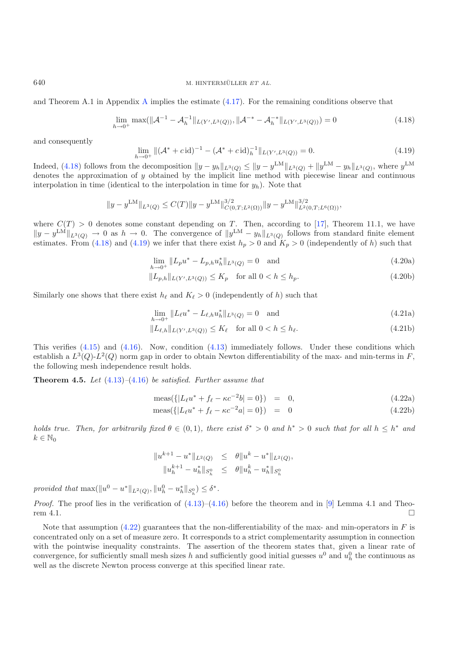<span id="page-14-1"></span><span id="page-14-0"></span>640 M. HINTERMÜLLER ET AL.

and Theorem [A](#page-23-0).1 in Appendix A implies the estimate  $(4.17)$ . For the remaining conditions observe that

$$
\lim_{h \to 0^+} \max(||\mathcal{A}^{-1} - \mathcal{A}_h^{-1}||_{L(Y', L^3(Q))}, ||\mathcal{A}^{-*} - \mathcal{A}_h^{-*}||_{L(Y', L^3(Q))}) = 0
$$
\n(4.18)

and consequently

$$
\lim_{h \to 0^+} \| (\mathcal{A}^* + c \, \mathrm{id})^{-1} - (\mathcal{A}^* + c \, \mathrm{id})_h^{-1} \|_{L(Y', L^3(Q))} = 0. \tag{4.19}
$$

Indeed, [\(4.18\)](#page-14-0) follows from the decomposition  $||y - y_h||_{L^3(Q)} \le ||y - y^{LM}||_{L^3(Q)} + ||y^{LM} - y_h||_{L^3(Q)}$ , where  $y^{LM}$ denotes the approximation of y obtained by the implicit line method with piecewise linear and continuous interpolation in time (identical to the interpolation in time for  $y<sub>h</sub>$ ). Note that

$$
\|y-y^{\text{LM}}\|_{L^3(Q)}\leq C(T)\|y-y^{\text{LM}}\|_{C(0,T;L^2(\Omega))}^{3/2}\|y-y^{\text{LM}}\|_{L^2(0,T;L^6(\Omega))}^{3/2},
$$

where  $C(T) > 0$  denotes some constant depending on T. Then, according to [\[17\]](#page-26-11), Theorem 11.1, we have  $||y-y^{\text{LM}}||_{L^3(Q)} \to 0$  as  $h \to 0$ . The convergence of  $||y^{\text{LM}} - y_h||_{L^3(Q)}$  follows from standard finite element estimates. From [\(4.18\)](#page-14-0) and [\(4.19\)](#page-14-1) we infer that there exist  $h_p > 0$  and  $K_p > 0$  (independently of h) such that

<span id="page-14-2"></span>
$$
\lim_{h \to 0^+} \|L_p u^* - L_{p,h} u_h^*\|_{L^3(Q)} = 0 \quad \text{and} \tag{4.20a}
$$

$$
||L_{p,h}||_{L(Y',L^3(Q))} \le K_p \quad \text{for all } 0 < h \le h_p. \tag{4.20b}
$$

Similarly one shows that there exist  $h_{\ell}$  and  $K_{\ell} > 0$  (independently of h) such that

$$
\lim_{h \to 0^+} \|L_{\ell}u^* - L_{\ell,h}u_h^*\|_{L^3(Q)} = 0 \quad \text{and} \tag{4.21a}
$$

$$
||L_{\ell,h}||_{L(Y',L^3(Q))} \le K_{\ell} \quad \text{for all } 0 < h \le h_{\ell}.\tag{4.21b}
$$

This verifies  $(4.15)$  and  $(4.16)$ . Now, condition  $(4.13)$  immediately follows. Under these conditions which establish a  $L^3(Q)-L^2(Q)$  norm gap in order to obtain Newton differentiability of the max- and min-terms in F, the following mesh independence result holds.

**Theorem 4.5.** *Let* [\(4.13\)](#page-13-4)*–*[\(4.16\)](#page-13-3) *be satisfied. Further assume that*

$$
\text{meas}(\{ |L_{\ell}u^* + f_{\ell} - \kappa c^{-2}b| = 0 \}) = 0, \tag{4.22a}
$$

$$
\text{meas}(\{|L_{\ell}u^* + f_{\ell} - \kappa c^{-2}a| = 0\}) = 0 \tag{4.22b}
$$

*holds true. Then, for arbitrarily fixed*  $\theta \in (0,1)$ *, there exist*  $\delta^* > 0$  *and*  $h^* > 0$  *such that for all*  $h \leq h^*$  *and*  $k \in \mathbb{N}_0$ 

$$
\begin{array}{rcl}\|u^{k+1}-u^*\|_{L^2(Q)}&\leq&\theta\|u^k-u^*\|_{L^2(Q)},\\&\|u_h^{k+1}-u_h^*\|_{S_h^0}&\leq&\theta\|u_h^k-u_h^*\|_{S_h^0}\end{array}
$$

*provided that*  $\max(\|u^0 - u^*\|_{L^2(Q)}, \|u^0_h - u^*_h\|_{S_h^0}) \le \delta^*$ .

*Proof.* The proof lies in the verification of  $(4.13)$ – $(4.16)$  before the theorem and in [\[9\]](#page-26-4) Lemma 4.1 and Theorem 4.1.  $\Box$  $\Box$ 

Note that assumption  $(4.22)$  guarantees that the non-differentiability of the max- and min-operators in F is concentrated only on a set of measure zero. It corresponds to a strict complementarity assumption in connection with the pointwise inequality constraints. The assertion of the theorem states that, given a linear rate of convergence, for sufficiently small mesh sizes h and sufficiently good initial guesses  $u^0$  and  $u^0_h$  the continuous as well as the discrete Newton process converge at this specified linear rate.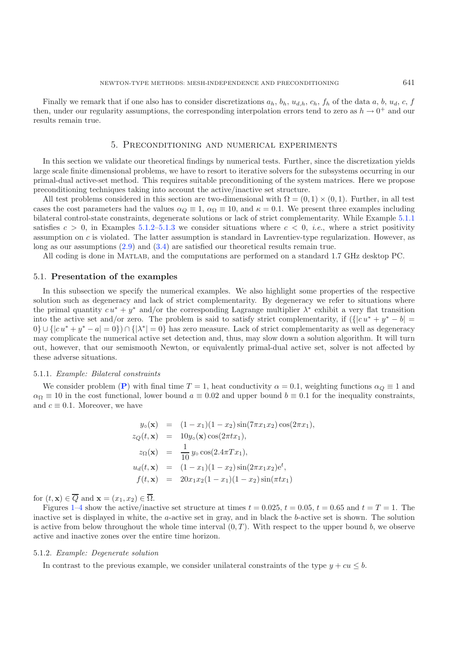Finally we remark that if one also has to consider discretizations  $a_h$ ,  $b_h$ ,  $u_{d,h}$ ,  $c_h$ ,  $f_h$  of the data a, b,  $u_d$ , c, f then, under our regularity assumptions, the corresponding interpolation errors tend to zero as  $h \to 0^+$  and our results remain true.

# 5. Preconditioning and numerical experiments

<span id="page-15-0"></span>In this section we validate our theoretical findings by numerical tests. Further, since the discretization yields large scale finite dimensional problems, we have to resort to iterative solvers for the subsystems occurring in our primal-dual active-set method. This requires suitable preconditioning of the system matrices. Here we propose preconditioning techniques taking into account the active/inactive set structure.

All test problems considered in this section are two-dimensional with  $\Omega = (0, 1) \times (0, 1)$ . Further, in all test cases the cost parameters had the values  $\alpha_Q \equiv 1$ ,  $\alpha_{\Omega} \equiv 10$ , and  $\kappa = 0.1$ . We present three examples including bilateral control-state constraints, degenerate solutions or lack of strict complementarity. While Example [5.1.1](#page-15-1) satisfies  $c > 0$ , in Examples [5.1.2–](#page-15-2)[5.1.3](#page-18-0) we consider situations where  $c < 0$ , *i.e.*, where a strict positivity assumption on c is violated. The latter assumption is standard in Lavrentiev-type regularization. However, as long as our assumptions [\(2.9\)](#page-5-6) and [\(3.4\)](#page-6-6) are satisfied our theoretical results remain true.

All coding is done in Matlab, and the computations are performed on a standard 1.7 GHz desktop PC.

### 5.1. **Presentation of the examples**

In this subsection we specify the numerical examples. We also highlight some properties of the respective solution such as degeneracy and lack of strict complementarity. By degeneracy we refer to situations where the primal quantity  $cu^* + y^*$  and/or the corresponding Lagrange multiplier  $\lambda^*$  exhibit a very flat transition into the active set and/or zero. The problem is said to satisfy strict complementarity, if  $({[c u^* + y^* - b]} =$  $0\} \cup \{ |cu^* + y^* - a| = 0 \} \cap \{ |\lambda^*| = 0 \}$  has zero measure. Lack of strict complementarity as well as degeneracy may complicate the numerical active set detection and, thus, may slow down a solution algorithm. It will turn out, however, that our semismooth Newton, or equivalently primal-dual active set, solver is not affected by these adverse situations.

#### <span id="page-15-1"></span>5.1.1. *Example: Bilateral constraints*

We consider problem (**[P](#page-3-0)**) with final time  $T = 1$ , heat conductivity  $\alpha = 0.1$ , weighting functions  $\alpha_Q \equiv 1$  and  $\alpha_{\Omega} \equiv 10$  in the cost functional, lower bound  $a \equiv 0.02$  and upper bound  $b \equiv 0.1$  for the inequality constraints, and  $c \equiv 0.1$ . Moreover, we have

$$
y_o(\mathbf{x}) = (1 - x_1)(1 - x_2)\sin(7\pi x_1 x_2)\cos(2\pi x_1),
$$
  
\n
$$
z_Q(t, \mathbf{x}) = 10y_o(\mathbf{x})\cos(2\pi tx_1),
$$
  
\n
$$
z_\Omega(\mathbf{x}) = \frac{1}{10}y_o\cos(2.4\pi Tx_1),
$$
  
\n
$$
u_d(t, \mathbf{x}) = (1 - x_1)(1 - x_2)\sin(2\pi x_1 x_2)e^t,
$$
  
\n
$$
f(t, \mathbf{x}) = 20x_1x_2(1 - x_1)(1 - x_2)\sin(\pi tx_1)
$$

for  $(t, \mathbf{x}) \in \overline{Q}$  and  $\mathbf{x} = (x_1, x_2) \in \overline{\Omega}$ .

Figures [1](#page-16-0)[–4](#page-17-0) show the active/inactive set structure at times  $t = 0.025$ ,  $t = 0.05$ ,  $t = 0.65$  and  $t = T = 1$ . The inactive set is displayed in white, the a-active set in gray, and in black the b-active set is shown. The solution is active from below throughout the whole time interval  $(0, T)$ . With respect to the upper bound b, we observe active and inactive zones over the entire time horizon.

#### <span id="page-15-2"></span>5.1.2. *Example: Degenerate solution*

In contrast to the previous example, we consider unilateral constraints of the type  $y + cu \leq b$ .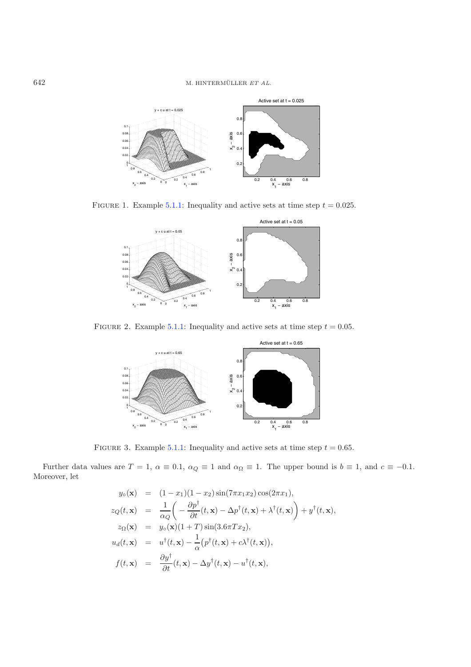<span id="page-16-0"></span>

FIGURE 1. Example [5.1.1:](#page-15-1) Inequality and active sets at time step  $t = 0.025$ .



FIGURE 2. Example [5.1.1:](#page-15-1) Inequality and active sets at time step  $t = 0.05$ .



FIGURE 3. Example [5.1.1:](#page-15-1) Inequality and active sets at time step  $t = 0.65$ .

Further data values are  $T = 1$ ,  $\alpha \equiv 0.1$ ,  $\alpha_Q \equiv 1$  and  $\alpha_{\Omega} \equiv 1$ . The upper bound is  $b \equiv 1$ , and  $c \equiv -0.1$ . Moreover, let

$$
y_{\circ}(\mathbf{x}) = (1 - x_1)(1 - x_2)\sin(7\pi x_1 x_2)\cos(2\pi x_1),
$$
  
\n
$$
z_Q(t, \mathbf{x}) = \frac{1}{\alpha_Q} \left( -\frac{\partial p^{\dagger}}{\partial t}(t, \mathbf{x}) - \Delta p^{\dagger}(t, \mathbf{x}) + \lambda^{\dagger}(t, \mathbf{x}) \right) + y^{\dagger}(t, \mathbf{x}),
$$
  
\n
$$
z_{\Omega}(\mathbf{x}) = y_{\circ}(\mathbf{x})(1 + T)\sin(3.6\pi T x_2),
$$
  
\n
$$
u_d(t, \mathbf{x}) = u^{\dagger}(t, \mathbf{x}) - \frac{1}{\alpha}(p^{\dagger}(t, \mathbf{x}) + c\lambda^{\dagger}(t, \mathbf{x})),
$$
  
\n
$$
f(t, \mathbf{x}) = \frac{\partial y^{\dagger}}{\partial t}(t, \mathbf{x}) - \Delta y^{\dagger}(t, \mathbf{x}) - u^{\dagger}(t, \mathbf{x}),
$$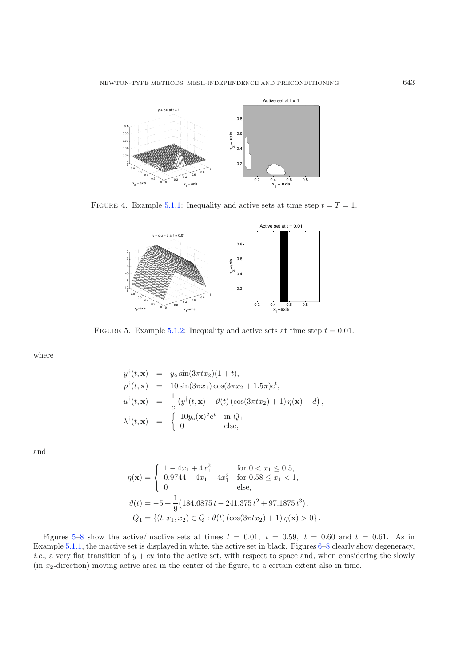

FIGURE 4. Example [5.1.1:](#page-15-1) Inequality and active sets at time step  $t = T = 1$ .

<span id="page-17-1"></span>

FIGURE 5. Example [5.1.2:](#page-15-2) Inequality and active sets at time step  $t = 0.01$ .

where

and

$$
y^{\dagger}(t, \mathbf{x}) = y_{\circ} \sin(3\pi tx_2)(1+t),
$$
  
\n
$$
p^{\dagger}(t, \mathbf{x}) = 10 \sin(3\pi x_1) \cos(3\pi x_2 + 1.5\pi) e^t,
$$
  
\n
$$
u^{\dagger}(t, \mathbf{x}) = \frac{1}{c} (y^{\dagger}(t, \mathbf{x}) - \vartheta(t) (\cos(3\pi tx_2) + 1) \eta(\mathbf{x}) - d),
$$
  
\n
$$
\lambda^{\dagger}(t, \mathbf{x}) = \begin{cases} 10y_{\circ}(\mathbf{x})^2 e^t & \text{in } Q_1 \\ 0 & \text{else,} \end{cases}
$$

$$
\eta(\mathbf{x}) = \begin{cases}\n1 - 4x_1 + 4x_1^2 & \text{for } 0 < x_1 \le 0.5, \\
0.9744 - 4x_1 + 4x_1^2 & \text{for } 0.58 \le x_1 < 1, \\
0 & \text{else,} \n\end{cases}
$$
\n
$$
\vartheta(t) = -5 + \frac{1}{9} \left( 184.6875 t - 241.375 t^2 + 97.1875 t^3 \right),
$$
\n
$$
Q_1 = \left\{ (t, x_1, x_2) \in Q : \vartheta(t) \left( \cos(3\pi t x_2) + 1 \right) \eta(\mathbf{x}) > 0 \right\}.
$$

Figures [5–](#page-17-1)[8](#page-18-1) show the active/inactive sets at times  $t = 0.01$ ,  $t = 0.59$ ,  $t = 0.60$  and  $t = 0.61$ . As in Example [5.1.1,](#page-15-1) the inactive set is displayed in white, the active set in black. Figures [6–](#page-18-2)[8](#page-18-1) clearly show degeneracy, *i.e.*, a very flat transition of  $y + cu$  into the active set, with respect to space and, when considering the slowly  $(in x<sub>2</sub>-direction)$  moving active area in the center of the figure, to a certain extent also in time.

<span id="page-17-0"></span>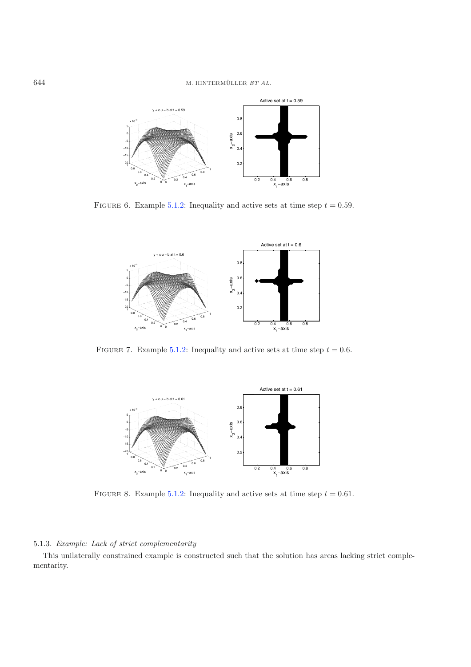<span id="page-18-2"></span>

FIGURE 6. Example [5.1.2:](#page-15-2) Inequality and active sets at time step  $t = 0.59$ .



FIGURE 7. Example [5.1.2:](#page-15-2) Inequality and active sets at time step  $t = 0.6$ .

<span id="page-18-1"></span>

FIGURE 8. Example [5.1.2:](#page-15-2) Inequality and active sets at time step  $t = 0.61$ .

# <span id="page-18-0"></span>5.1.3. *Example: Lack of strict complementarity*

This unilaterally constrained example is constructed such that the solution has areas lacking strict complementarity.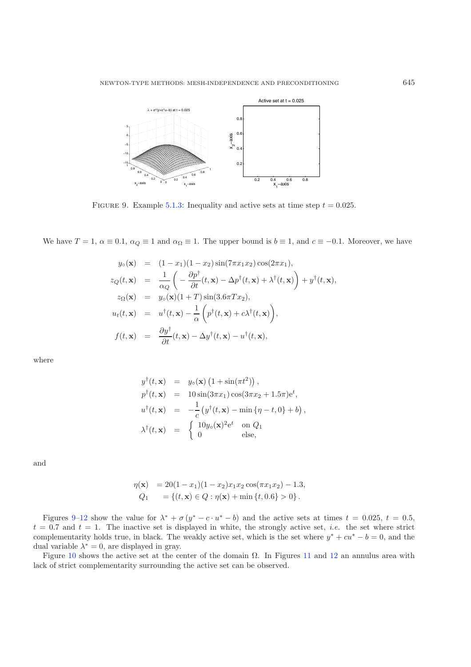<span id="page-19-0"></span>

FIGURE 9. Example [5.1.3:](#page-18-0) Inequality and active sets at time step  $t = 0.025$ .

We have  $T = 1$ ,  $\alpha \equiv 0.1$ ,  $\alpha_Q \equiv 1$  and  $\alpha_{\Omega} \equiv 1$ . The upper bound is  $b \equiv 1$ , and  $c \equiv -0.1$ . Moreover, we have

$$
y_{\circ}(\mathbf{x}) = (1 - x_1)(1 - x_2)\sin(7\pi x_1 x_2)\cos(2\pi x_1),
$$
  
\n
$$
z_Q(t, \mathbf{x}) = \frac{1}{\alpha_Q} \left( -\frac{\partial p^{\dagger}}{\partial t}(t, \mathbf{x}) - \Delta p^{\dagger}(t, \mathbf{x}) + \lambda^{\dagger}(t, \mathbf{x}) \right) + y^{\dagger}(t, \mathbf{x}),
$$
  
\n
$$
z_{\Omega}(\mathbf{x}) = y_{\circ}(\mathbf{x})(1 + T)\sin(3.6\pi T x_2),
$$
  
\n
$$
u_t(t, \mathbf{x}) = u^{\dagger}(t, \mathbf{x}) - \frac{1}{\alpha} \left( p^{\dagger}(t, \mathbf{x}) + c\lambda^{\dagger}(t, \mathbf{x}) \right),
$$
  
\n
$$
f(t, \mathbf{x}) = \frac{\partial y^{\dagger}}{\partial t}(t, \mathbf{x}) - \Delta y^{\dagger}(t, \mathbf{x}) - u^{\dagger}(t, \mathbf{x}),
$$

where

$$
y^{\dagger}(t, \mathbf{x}) = y_{\circ}(\mathbf{x}) (1 + \sin(\pi t^2)),
$$
  
\n
$$
p^{\dagger}(t, \mathbf{x}) = 10 \sin(3\pi x_1) \cos(3\pi x_2 + 1.5\pi) e^t,
$$
  
\n
$$
u^{\dagger}(t, \mathbf{x}) = -\frac{1}{c} (y^{\dagger}(t, \mathbf{x}) - \min \{\eta - t, 0\} + b),
$$
  
\n
$$
\lambda^{\dagger}(t, \mathbf{x}) = \begin{cases} 10y_{\circ}(\mathbf{x})^2 e^t & \text{on } Q_1 \\ 0 & \text{else,} \end{cases}
$$

and

$$
\eta(\mathbf{x}) = 20(1 - x_1)(1 - x_2)x_1x_2\cos(\pi x_1x_2) - 1.3,
$$
  
\n
$$
Q_1 = \{(t, \mathbf{x}) \in Q : \eta(\mathbf{x}) + \min\{t, 0.6\} > 0\}.
$$

Figures [9–](#page-19-0)[12](#page-20-1) show the value for  $\lambda^* + \sigma (y^* - c \cdot u^* - b)$  and the active sets at times  $t = 0.025$ ,  $t = 0.5$ ,  $t = 0.7$  and  $t = 1$ . The inactive set is displayed in white, the strongly active set, *i.e.* the set where strict complementarity holds true, in black. The weakly active set, which is the set where  $y^* + cu^* - b = 0$ , and the dual variable  $\lambda^* = 0$ , are displayed in gray.

Figure [10](#page-20-2) shows the active set at the center of the domain  $\Omega$ . In Figures [11](#page-20-3) and [12](#page-20-1) an annulus area with lack of strict complementarity surrounding the active set can be observed.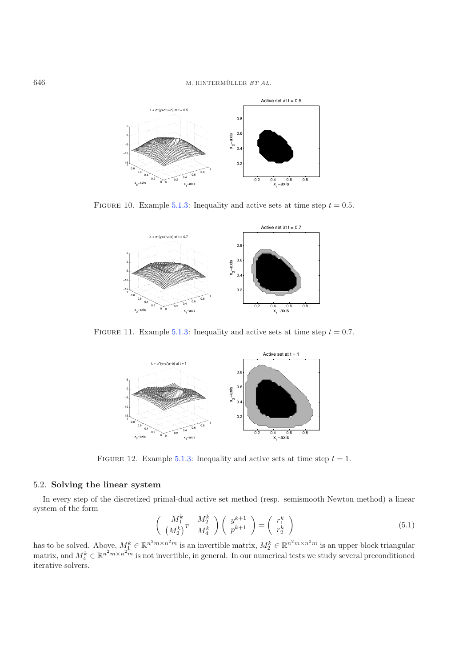<span id="page-20-2"></span>

FIGURE 10. Example [5.1.3:](#page-18-0) Inequality and active sets at time step  $t = 0.5$ .

<span id="page-20-3"></span>

FIGURE 11. Example [5.1.3:](#page-18-0) Inequality and active sets at time step  $t = 0.7$ .

<span id="page-20-1"></span>

<span id="page-20-0"></span>FIGURE 12. Example [5.1.3:](#page-18-0) Inequality and active sets at time step  $t = 1$ .

# 5.2. **Solving the linear system**

In every step of the discretized primal-dual active set method (resp. semismooth Newton method) a linear system of the form

$$
\begin{pmatrix}\nM_1^k & M_2^k \\
(M_2^k)^T & M_4^k\n\end{pmatrix}\n\begin{pmatrix}\ny^{k+1} \\
p^{k+1}\n\end{pmatrix} =\n\begin{pmatrix}\nr_1^k \\
r_2^k\n\end{pmatrix}
$$
\n(5.1)

has to be solved. Above,  $M_1^k \in \mathbb{R}^{n^2 m \times n^2 m}$  is an invertible matrix,  $M_2^k \in \mathbb{R}^{n^2 m \times n^2 m}$  is an upper block triangular matrix, and  $M_4^k \in \mathbb{R}^{n^2 m \times n^2 m}$  is not invertible, in general. In our numerical tests we study several preconditioned iterative solvers.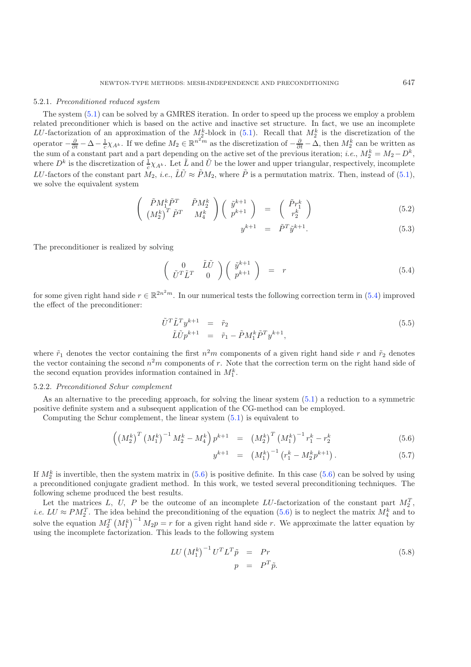#### 5.2.1. *Preconditioned reduced system*

The system [\(5.1\)](#page-20-0) can be solved by a GMRES iteration. In order to speed up the process we employ a problem related preconditioner which is based on the active and inactive set structure. In fact, we use an incomplete LU-factorization of an approximation of the  $M_2^k$ -block in [\(5.1\)](#page-20-0). Recall that  $M_2^k$  is the discretization of the operator  $-\frac{\partial}{\partial t} - \Delta - \frac{1}{c}\chi_{A^k}$ . If we define  $M_2 \in \mathbb{R}^{n^2 m}$  as the discretization of  $-\frac{\partial}{\partial t} - \Delta$ , then  $M_2^k$  can be written as the sum of a constant part and a part depending on the active set of the previous iteration; *i.e.*,  $M_2^k = M_2 - D^k$ , where  $D^k$  is the discretization of  $\frac{1}{c}\chi_{A^k}$ . Let  $\tilde{L}$  and  $\tilde{U}$  be the lower and upper triangular, respectively, incomplete LU-factors of the constant part  $M_2$ , *i.e.*,  $\tilde{L}\tilde{U} \approx \tilde{P}M_2$ , where  $\tilde{P}$  is a permutation matrix. Then, instead of [\(5.1\)](#page-20-0), we solve the equivalent system

$$
\begin{pmatrix}\n\tilde{P}M_1^k \tilde{P}^T & \tilde{P}M_2^k \\
\left(M_2^k\right)^T \tilde{P}^T & M_4^k\n\end{pmatrix}\n\begin{pmatrix}\n\tilde{y}^{k+1} \\
p^{k+1}\n\end{pmatrix} = \begin{pmatrix}\n\tilde{P}r_1^k \\
r_2^k\n\end{pmatrix}
$$
\n(5.2)

$$
y^{k+1} = \tilde{P}^T \tilde{y}^{k+1}.
$$
 (5.3)

<span id="page-21-4"></span>The preconditioner is realized by solving

<span id="page-21-0"></span>
$$
\begin{pmatrix}\n0 & \tilde{L}\tilde{U} \\
\tilde{U}^T \tilde{L}^T & 0\n\end{pmatrix}\n\begin{pmatrix}\n\tilde{y}^{k+1} \\
p^{k+1}\n\end{pmatrix} = r
$$
\n(5.4)

for some given right hand side  $r \in \mathbb{R}^{2n^2m}$ . In our numerical tests the following correction term in [\(5.4\)](#page-21-0) improved the effect of the preconditioner:

<span id="page-21-2"></span>
$$
\tilde{U}^T \tilde{L}^T y^{k+1} = \tilde{r}_2 \n\tilde{L} \tilde{U} p^{k+1} = \tilde{r}_1 - \tilde{P} M_1^k \tilde{P}^T y^{k+1},
$$
\n(5.5)

where  $\tilde{r}_1$  denotes the vector containing the first  $n^2m$  components of a given right hand side r and  $\tilde{r}_2$  denotes the vector containing the second  $n^2m$  components of r. Note that the correction term on the right hand side of the second equation provides information contained in  $M_1^k$ .

#### 5.2.2. *Preconditioned Schur complement*

As an alternative to the preceding approach, for solving the linear system [\(5.1\)](#page-20-0) a reduction to a symmetric positive definite system and a subsequent application of the CG-method can be employed.

<span id="page-21-1"></span>Computing the Schur complement, the linear system [\(5.1\)](#page-20-0) is equivalent to

$$
\left( \left( M_2^k \right)^T \left( M_1^k \right)^{-1} M_2^k - M_4^k \right) p^{k+1} = \left( M_2^k \right)^T \left( M_1^k \right)^{-1} r_1^k - r_2^k \tag{5.6}
$$

$$
y^{k+1} = (M_1^k)^{-1} (r_1^k - M_2^k p^{k+1}). \tag{5.7}
$$

If  $M_2^k$  is invertible, then the system matrix in  $(5.6)$  is positive definite. In this case  $(5.6)$  can be solved by using a preconditioned conjugate gradient method. In this work, we tested several preconditioning techniques. The following scheme produced the best results.

Let the matrices L, U, P be the outcome of an incomplete LU-factorization of the constant part  $M_2^T$ , *i.e.*  $LU \approx PM_2^T$ . The idea behind the preconditioning of the equation [\(5.6\)](#page-21-1) is to neglect the matrix  $M_4^k$  and to solve the equation  $M_2^T (M_1^k)^{-1} M_2 p = r$  for a given right hand side r. We approximate the latter equation by using the incomplete factorization. This leads to the following system

<span id="page-21-3"></span>
$$
LU\left(M_1^k\right)^{-1}U^TL^T\tilde{p} = Pr
$$
  
\n
$$
p = P^T\tilde{p}.
$$
\n(5.8)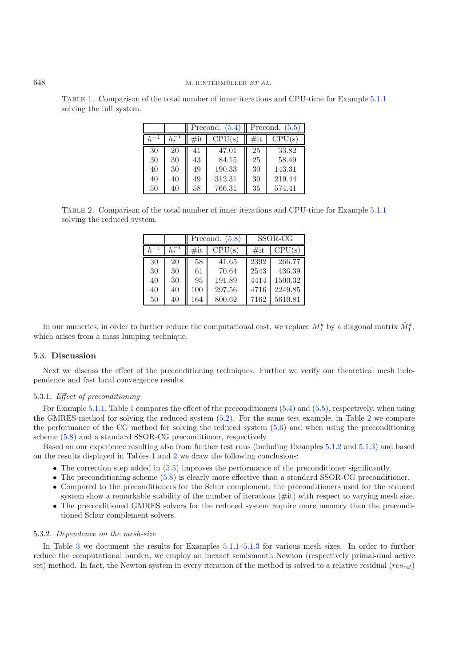Table 1. Comparison of the total number of inner iterations and CPU-time for Example [5.1.1](#page-15-1) solving the full system.

|    |    | Precond. $(5.4)$ |           | Precond. $(5.5)$ |        |
|----|----|------------------|-----------|------------------|--------|
|    |    | $\#$ it          | CPU<br>(s | $\#$ it          | CPU(s) |
| 30 | 20 | 41               | 47.01     | 25               | 33.82  |
| 30 | 30 | 43               | 84.15     | 25               | 58.49  |
| 40 | 30 | 49               | 190.33    | 30               | 143.31 |
| 40 | 40 | 49               | 312.31    | 30               | 219.44 |
| 50 | 40 | 58               | 766.31    | 35               | 574.41 |

<span id="page-22-1"></span>Table 2. Comparison of the total number of inner iterations and CPU-time for Example [5.1.1](#page-15-1) solving the reduced system.

|    |    | (5.8)<br>Precond. |        | SSOR-CG |         |
|----|----|-------------------|--------|---------|---------|
|    |    | $\#$ it           | CPU(s) | $\#$ it | CPU(s)  |
| 30 | 20 | 58                | 41.65  | 2392    | 266.77  |
| 30 | 30 | 61                | 70.64  | 2543    | 436.39  |
| 40 | 30 | 95                | 191.89 | 4414    | 1500.32 |
| 40 | 40 | 100               | 297.56 | 4716    | 2249.85 |
| 50 | 40 | 164               | 800.62 | 7162    | 5610.81 |

In our numerics, in order to further reduce the computational cost, we replace  $M_1^k$  by a diagonal matrix  $\tilde{M}_1^k$ , which arises from a mass lumping technique.

#### 5.3. **Discussion**

Next we discuss the effect of the preconditioning techniques. Further we verify our theoretical mesh independence and fast local convergence results.

### 5.3.1. *Effect of preconditioning*

For Example [5.1.1,](#page-15-1) Table [1](#page-22-0) compares the effect of the preconditioners [\(5.4\)](#page-21-0) and [\(5.5\)](#page-21-2), respectively, when using the GMRES-method for solving the reduced system [\(5.2\)](#page-21-4). For the same test example, in Table [2](#page-22-1) we compare the performance of the CG method for solving the reduced system [\(5.6\)](#page-21-1) and when using the preconditioning scheme [\(5.8\)](#page-21-3) and a standard SSOR-CG preconditioner, respectively.

Based on our experience resulting also from further test runs (including Examples [5.1.2](#page-15-2) and [5.1.3\)](#page-18-0) and based on the results displayed in Tables [1](#page-22-0) and [2](#page-22-1) we draw the following conclusions:

- The correction step added in  $(5.5)$  improves the performance of the preconditioner significantly.
- The preconditioning scheme [\(5.8\)](#page-21-3) is clearly more effective than a standard SSOR-CG preconditioner.
- Compared to the preconditioners for the Schur complement, the preconditioners used for the reduced system show a remarkable stability of the number of iterations (#it) with respect to varying mesh size.
- The preconditioned GMRES solvers for the reduced system require more memory than the preconditioned Schur complement solvers.

#### 5.3.2. *Dependence on the mesh-size*

In Table [3](#page-23-1) we document the results for Examples [5.1.1](#page-15-1)[–5.1.3](#page-18-0) for various mesh sizes. In order to further reduce the computational burden, we employ an inexact semismooth Newton (respectively primal-dual active set) method. In fact, the Newton system in every iteration of the method is solved to a relative residual ( $res_{rel}$ )

<span id="page-22-0"></span>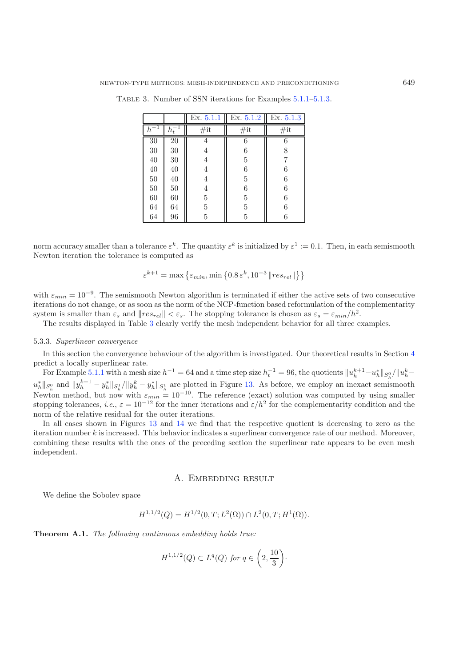|          |    | Ex. 5.1.1      | Ex. 5.1.2 | Ex. $5.1.3$ |
|----------|----|----------------|-----------|-------------|
| $h^{-1}$ |    | #it            | $\#$ it   | #it         |
| $30\,$   | 20 |                | 6         | 6           |
| $30\,$   | 30 | 4              | 6         | 8           |
| 40       | 30 | 4              | 5         | 7           |
| 40       | 40 | 4              | 6         | 6           |
| 50       | 40 | 4              | 5         | 6           |
| $50\,$   | 50 | 4              | 6         | 6           |
| 60       | 60 | $\overline{5}$ | 5         | 6           |
| 64       | 64 | $\overline{5}$ | 5         | 6           |
| 64       | 96 | $\overline{5}$ | 5         | 6           |

<span id="page-23-1"></span>Table 3. Number of SSN iterations for Examples [5.1.1](#page-15-1)[–5.1.3.](#page-18-0)

norm accuracy smaller than a tolerance  $\varepsilon^k$ . The quantity  $\varepsilon^k$  is initialized by  $\varepsilon^1 := 0.1$ . Then, in each semismooth Newton iteration the tolerance is computed as

$$
\varepsilon^{k+1} = \max\left\{ \varepsilon_{min}, \min\left\{ 0.8 \, \varepsilon^k, 10^{-3} \, \| res_{rel} \| \right\} \right\}
$$

with  $\varepsilon_{min} = 10^{-9}$ . The semismooth Newton algorithm is terminated if either the active sets of two consecutive iterations do not change, or as soon as the norm of the NCP-function based reformulation of the complementarity system is smaller than  $\varepsilon_s$  and  $||res_{rel}|| < \varepsilon_s$ . The stopping tolerance is chosen as  $\varepsilon_s = \varepsilon_{min}/h^2$ .

The results displayed in Table [3](#page-23-1) clearly verify the mesh independent behavior for all three examples.

#### 5.3.3. *Superlinear convergence*

In this section the convergence behaviour of the algorithm is investigated. Our theoretical results in Section [4](#page-9-0) predict a locally superlinear rate.

For Example [5.1.1](#page-15-1) with a mesh size  $h^{-1} = 64$  and a time step size  $h_t^{-1} = 96$ , the quotients  $||u_h^{k+1} - u_h^*||_{S_h^0}/||u_h^k \|u_h^*\|_{S_h^0}$  and  $\|y_h^{k+1} - y_h^*\|_{S_h^1}/\|y_h^k - y_h^*\|_{S_h^1}$  are plotted in Figure [13.](#page-24-0) As before, we employ an inexact semismooth Newton method, but now with  $\varepsilon_{min} = 10^{-10}$ . The reference (exact) solution was computed by using smaller stopping tolerances, *i.e.*,  $\varepsilon = 10^{-12}$  for the inner iterations and  $\varepsilon/h^2$  for the complementarity condition and the norm of the relative residual for the outer iterations.

In all cases shown in Figures [13](#page-24-0) and [14](#page-24-1) we find that the respective quotient is decreasing to zero as the iteration number k is increased. This behavior indicates a superlinear convergence rate of our method. Moreover, combining these results with the ones of the preceding section the superlinear rate appears to be even mesh independent.

### A. EMBEDDING RESULT

<span id="page-23-0"></span>We define the Sobolev space

$$
H^{1,1/2}(Q) = H^{1/2}(0,T;L^2(\Omega)) \cap L^2(0,T;H^1(\Omega)).
$$

**Theorem A.1.** *The following continuous embedding holds true:*

$$
H^{1,1/2}(Q) \subset L^q(Q) \text{ for } q \in \left(2, \frac{10}{3}\right).
$$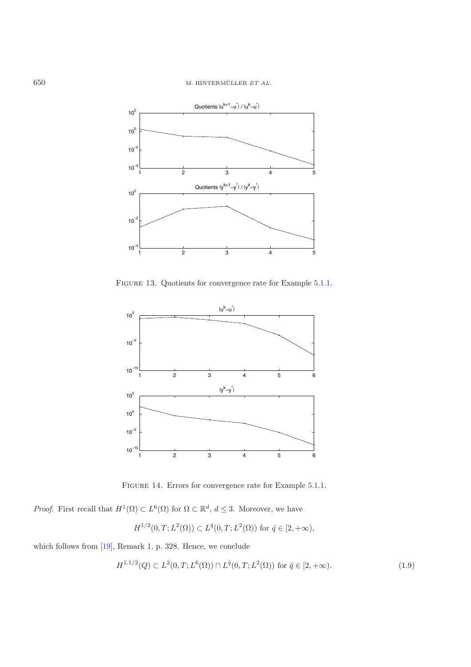# 650 M. HINTERMÜLLER ET AL.

<span id="page-24-0"></span>

FIGURE 13. Quotients for convergence rate for Example [5.1.1.](#page-15-1)

<span id="page-24-1"></span>

FIGURE 14. Errors for convergence rate for Example [5.1.1.](#page-15-1)

<span id="page-24-2"></span>*Proof.* First recall that  $H^1(\Omega) \subset L^6(\Omega)$  for  $\Omega \subset \mathbb{R}^d$ ,  $d \leq 3$ . Moreover, we have

$$
H^{1/2}(0,T;L^2(\Omega)) \subset L^{\hat{q}}(0,T;L^2(\Omega)) \text{ for } \hat{q} \in [2,+\infty),
$$

which follows from [\[19\]](#page-26-12), Remark 1, p. 328. Hence, we conclude

$$
H^{1,1/2}(Q) \subset L^2(0,T;L^6(\Omega)) \cap L^{\hat{q}}(0,T;L^2(\Omega)) \text{ for } \hat{q} \in [2,+\infty). \tag{1.9}
$$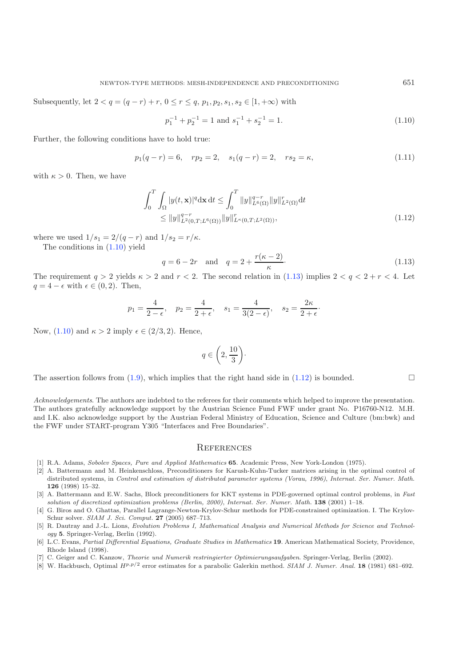<span id="page-25-9"></span><span id="page-25-7"></span>Subsequently, let  $2 < q = (q - r) + r$ ,  $0 \le r \le q$ ,  $p_1, p_2, s_1, s_2 \in [1, +\infty)$  with

$$
p_1^{-1} + p_2^{-1} = 1 \text{ and } s_1^{-1} + s_2^{-1} = 1. \tag{1.10}
$$

Further, the following conditions have to hold true:

<span id="page-25-8"></span>
$$
p_1(q - r) = 6, \quad rp_2 = 2, \quad s_1(q - r) = 2, \quad rs_2 = \kappa,
$$
\n(1.11)

with  $\kappa > 0$ . Then, we have

$$
\int_{0}^{T} \int_{\Omega} |y(t, \mathbf{x})|^{q} d\mathbf{x} dt \leq \int_{0}^{T} ||y||_{L^{q}(\Omega)}^{q-r} ||y||_{L^{2}(\Omega)}^{r} dt
$$
  
\n
$$
\leq ||y||_{L^{2}(0,T;L^{6}(\Omega))}^{q-r} ||y||_{L^{\kappa}(0,T;L^{2}(\Omega))}^{r},
$$
\n(1.12)

where we used  $1/s_1 = 2/(q - r)$  and  $1/s_2 = r/\kappa$ . The conditions in [\(1.10\)](#page-25-7) yield

$$
q = 6 - 2r
$$
 and  $q = 2 + \frac{r(\kappa - 2)}{\kappa}$ . (1.13)

The requirement  $q > 2$  yields  $\kappa > 2$  and  $r < 2$ . The second relation in [\(1.13\)](#page-25-8) implies  $2 < q < 2 + r < 4$ . Let  $q = 4 - \epsilon$  with  $\epsilon \in (0, 2)$ . Then,

$$
p_1 = \frac{4}{2 - \epsilon}
$$
,  $p_2 = \frac{4}{2 + \epsilon}$ ,  $s_1 = \frac{4}{3(2 - \epsilon)}$ ,  $s_2 = \frac{2\kappa}{2 + \epsilon}$ .

Now,  $(1.10)$  and  $\kappa > 2$  imply  $\epsilon \in (2/3, 2)$ . Hence,

$$
q\in \bigg(2,\frac{10}{3}\bigg)\cdot
$$

The assertion follows from  $(1.9)$ , which implies that the right hand side in  $(1.12)$  is bounded.

*Acknowledgements*. The authors are indebted to the referees for their comments which helped to improve the presentation. The authors gratefully acknowledge support by the Austrian Science Fund FWF under grant No. P16760-N12. M.H. and I.K. also acknowledge support by the Austrian Federal Ministry of Education, Science and Culture (bm:bwk) and the FWF under START-program Y305 "Interfaces and Free Boundaries".

#### **REFERENCES**

- <span id="page-25-2"></span>[1] R.A. Adams, Sobolev Spaces, Pure and Applied Mathematics **65**. Academic Press, New York-London (1975).
- <span id="page-25-0"></span>[2] A. Battermann and M. Heinkenschloss, Preconditioners for Karush-Kuhn-Tucker matrices arising in the optimal control of distributed systems, in Control and estimation of distributed parameter systems (Vorau, 1996), Internat. Ser. Numer. Math. **126** (1998) 15–32.
- [3] A. Battermann and E.W. Sachs, Block preconditioners for KKT systems in PDE-governed optimal control problems, in Fast solution of discretized optimization problems (Berlin, 2000), Internat. Ser. Numer. Math. **138** (2001) 1–18.
- <span id="page-25-1"></span>[4] G. Biros and O. Ghattas, Parallel Lagrange-Newton-Krylov-Schur methods for PDE-constrained optimization. I. The Krylov-Schur solver. SIAM J. Sci. Comput. **27** (2005) 687–713.
- <span id="page-25-4"></span>[5] R. Dautray and J.-L. Lions, Evolution Problems I, Mathematical Analysis and Numerical Methods for Science and Technology **5**. Springer-Verlag, Berlin (1992).
- <span id="page-25-3"></span>[6] L.C. Evans, Partial Differential Equations, Graduate Studies in Mathematics **19**. American Mathematical Society, Providence, Rhode Island (1998).
- [7] C. Geiger and C. Kanzow, Theorie und Numerik restringierter Optimierungsaufgaben. Springer-Verlag, Berlin (2002).
- <span id="page-25-6"></span><span id="page-25-5"></span>[8] W. Hackbusch, Optimal *Hp,p/*<sup>2</sup> error estimates for a parabolic Galerkin method. SIAM J. Numer. Anal. **18** (1981) 681–692.

 $\Box$